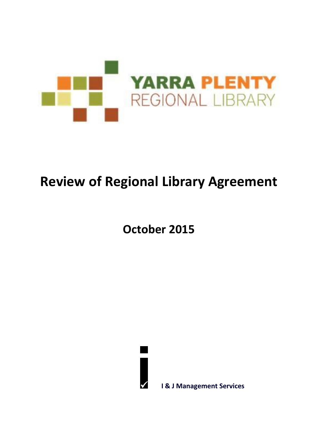

# **Review of Regional Library Agreement**

**October 2015**



**I & J Management Services**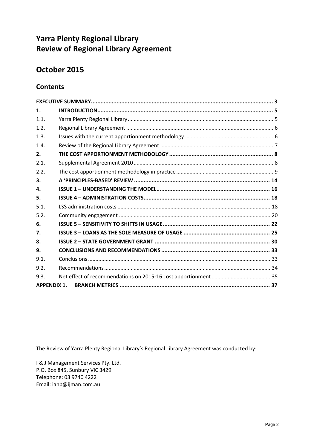# **Yarra Plenty Regional Library Review of Regional Library Agreement**

# **October 2015**

### **Contents**

| 1.                 |  |
|--------------------|--|
| 1.1.               |  |
| 1.2.               |  |
| 1.3.               |  |
| 1.4.               |  |
| 2.                 |  |
| 2.1.               |  |
| 2.2.               |  |
| 3.                 |  |
| 4.                 |  |
| 5.                 |  |
| 5.1.               |  |
| 5.2.               |  |
| 6.                 |  |
| 7.                 |  |
| 8.                 |  |
| 9.                 |  |
| 9.1.               |  |
| 9.2.               |  |
| 9.3.               |  |
| <b>APPENDIX 1.</b> |  |

The Review of Yarra Plenty Regional Library's Regional Library Agreement was conducted by:

I & J Management Services Pty. Ltd. P.O. Box 845, Sunbury VIC 3429 Telephone: 03 9740 4222 Email: ianp@ijman.com.au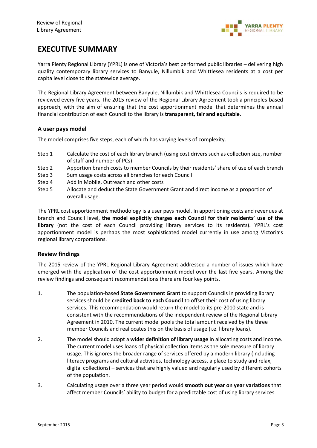

# **EXECUTIVE SUMMARY**

Yarra Plenty Regional Library (YPRL) is one of Victoria's best performed public libraries – delivering high quality contemporary library services to Banyule, Nillumbik and Whittlesea residents at a cost per capita level close to the statewide average.

The Regional Library Agreement between Banyule, Nillumbik and Whittlesea Councils is required to be reviewed every five years. The 2015 review of the Regional Library Agreement took a principles-based approach, with the aim of ensuring that the cost apportionment model that determines the annual financial contribution of each Council to the library is **transparent, fair and equitable**.

#### **A user pays model**

The model comprises five steps, each of which has varying levels of complexity.

- Step 1 Calculate the cost of each library branch (using cost drivers such as collection size, number of staff and number of PCs)
- Step 2 Apportion branch costs to member Councils by their residents' share of use of each branch
- Step 3 Sum usage costs across all branches for each Council
- Step 4 Add in Mobile, Outreach and other costs
- Step 5 Allocate and deduct the State Government Grant and direct income as a proportion of overall usage.

The YPRL cost apportionment methodology is a user pays model. In apportioning costs and revenues at branch and Council level, **the model explicitly charges each Council for their residents' use of the library** (not the cost of each Council providing library services to its residents). YPRL's cost apportionment model is perhaps the most sophisticated model currently in use among Victoria's regional library corporations.

#### **Review findings**

The 2015 review of the YPRL Regional Library Agreement addressed a number of issues which have emerged with the application of the cost apportionment model over the last five years. Among the review findings and consequent recommendations there are four key points.

- 1. The population-based **State Government Grant** to support Councils in providing library services should be **credited back to each Council** to offset their cost of using library services. This recommendation would return the model to its pre-2010 state and is consistent with the recommendations of the independent review of the Regional Library Agreement in 2010. The current model pools the total amount received by the three member Councils and reallocates this on the basis of usage (i.e. library loans).
- 2. The model should adopt a **wider definition of library usage** in allocating costs and income. The current model uses loans of physical collection items as the sole measure of library usage. This ignores the broader range of services offered by a modern library (including literacy programs and cultural activities, technology access, a place to study and relax, digital collections) – services that are highly valued and regularly used by different cohorts of the population.
- 3. Calculating usage over a three year period would **smooth out year on year variations** that affect member Councils' ability to budget for a predictable cost of using library services.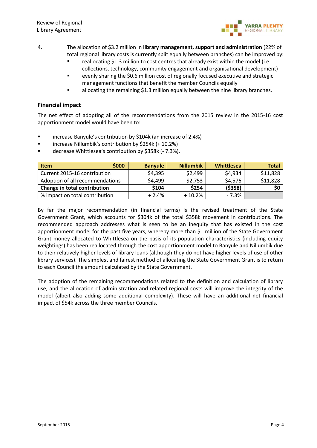

- 4. The allocation of \$3.2 million in **library management, support and administration** (22% of total regional library costs is currently split equally between branches) can be improved by:
	- reallocating \$1.3 million to cost centres that already exist within the model (i.e. collections, technology, community engagement and organisational development)
	- evenly sharing the \$0.6 million cost of regionally focused executive and strategic management functions that benefit the member Councils equally
	- allocating the remaining \$1.3 million equally between the nine library branches.

#### **Financial impact**

The net effect of adopting all of the recommendations from the 2015 review in the 2015-16 cost apportionment model would have been to:

- **E** increase Banyule's contribution by \$104k (an increase of 2.4%)
- **E** increase Nillumbik's contribution by \$254k (+ 10.2%)
- decrease Whittlesea's contribution by \$358k (- 7.3%).

| \$000<br><b>Item</b>            | <b>Banyule</b> | <b>Nillumbik</b> | Whittlesea | <b>Total</b> |
|---------------------------------|----------------|------------------|------------|--------------|
| Current 2015-16 contribution    | \$4,395        | \$2,499          | \$4,934    | \$11,828     |
| Adoption of all recommendations | \$4,499        | \$2,753          | \$4,576    | \$11,828     |
| Change in total contribution    | \$104          | \$254            | ( \$358)   | \$0          |
| % impact on total contribution  | $+2.4%$        | $+10.2%$         | $-7.3%$    |              |

By far the major recommendation (in financial terms) is the revised treatment of the State Government Grant, which accounts for \$304k of the total \$358k movement in contributions. The recommended approach addresses what is seen to be an inequity that has existed in the cost apportionment model for the past five years, whereby more than \$1 million of the State Government Grant money allocated to Whittlesea on the basis of its population characteristics (including equity weightings) has been reallocated through the cost apportionment model to Banyule and Nillumbik due to their relatively higher levels of library loans (although they do not have higher levels of use of other library services). The simplest and fairest method of allocating the State Government Grant is to return to each Council the amount calculated by the State Government.

The adoption of the remaining recommendations related to the definition and calculation of library use, and the allocation of administration and related regional costs will improve the integrity of the model (albeit also adding some additional complexity). These will have an additional net financial impact of \$54k across the three member Councils.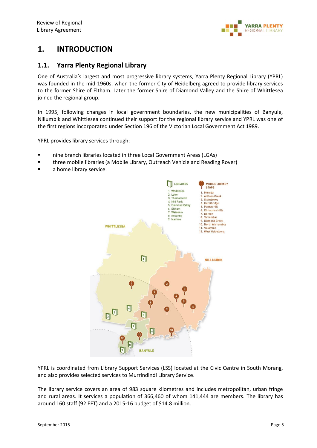

## **1. INTRODUCTION**

### **1.1. Yarra Plenty Regional Library**

One of Australia's largest and most progressive library systems, Yarra Plenty Regional Library (YPRL) was founded in the mid-1960s, when the former City of Heidelberg agreed to provide library services to the former Shire of Eltham. Later the former Shire of Diamond Valley and the Shire of Whittlesea joined the regional group.

In 1995, following changes in local government boundaries, the new municipalities of Banyule, Nillumbik and Whittlesea continued their support for the regional library service and YPRL was one of the first regions incorporated under Section 196 of the Victorian Local Government Act 1989.

YPRL provides library services through:

- nine branch libraries located in three Local Government Areas (LGAs)
- **The Ethree mobile libraries (a Mobile Library, Outreach Vehicle and Reading Rover)**
- a home library service.



YPRL is coordinated from Library Support Services (LSS) located at the Civic Centre in South Morang, and also provides selected services to Murrindindi Library Service.

The library service covers an area of 983 square kilometres and includes metropolitan, urban fringe and rural areas. It services a population of 366,460 of whom 141,444 are members. The library has around 160 staff (92 EFT) and a 2015-16 budget of \$14.8 million.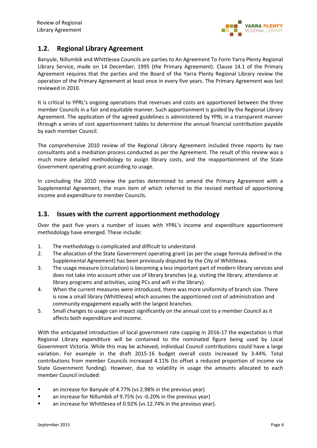

### **1.2. Regional Library Agreement**

Banyule, Nillumbik and Whittlesea Councils are parties to An Agreement To Form Yarra Plenty Regional Library Service, made on 14 December, 1995 (the Primary Agreement). Clause 14.1 of the Primary Agreement requires that the parties and the Board of the Yarra Plenty Regional Library review the operation of the Primary Agreement at least once in every five years. The Primary Agreement was last reviewed in 2010.

It is critical to YPRL's ongoing operations that revenues and costs are apportioned between the three member Councils in a fair and equitable manner. Such apportionment is guided by the Regional Library Agreement. The application of the agreed guidelines is administered by YPRL in a transparent manner through a series of cost apportionment tables to determine the annual financial contribution payable by each member Council.

The comprehensive 2010 review of the Regional Library Agreement included three reports by two consultants and a mediation process conducted as per the Agreement. The result of this review was a much more detailed methodology to assign library costs, and the reapportionment of the State Government operating grant according to usage.

In concluding the 2010 review the parties determined to amend the Primary Agreement with a Supplemental Agreement, the main item of which referred to the revised method of apportioning income and expenditure to member Councils.

### **1.3. Issues with the current apportionment methodology**

Over the past five years a number of issues with YPRL's income and expenditure apportionment methodology have emerged. These include:

- 1. The methodology is complicated and difficult to understand.
- 2. The allocation of the State Government operating grant (as per the usage formula defined in the Supplemental Agreement) has been previously disputed by the City of Whittlesea.
- 3. The usage measure (circulation) is becoming a less important part of modern library services and does not take into account other use of library branches (e.g. visiting the library, attendance at library programs and activities, using PCs and wifi in the library).
- 4. When the current measures were introduced, there was more uniformity of branch size. There is now a small library (Whittlesea) which assumes the apportioned cost of administration and community engagement equally with the largest branches.
- 5. Small changes to usage can impact significantly on the annual cost to a member Council as it affects both expenditure and income.

With the anticipated introduction of local government rate capping in 2016-17 the expectation is that Regional Library expenditure will be contained to the nominated figure being used by Local Government Victoria. While this may be achieved, individual Council contributions could have a large variation. For example in the draft 2015-16 budget overall costs increased by 3.44%. Total contributions from member Councils increased 4.11% (to offset a reduced proportion of income via State Government funding). However, due to volatility in usage the amounts allocated to each member Council included:

- **E** an increase for Banyule of 4.77% (vs 2.98% in the previous year)
- an increase for Nillumbik of 9.75% (vs -0.20% in the previous year)
- **E** an increase for Whittlesea of 0.92% (vs 12.74% in the previous year).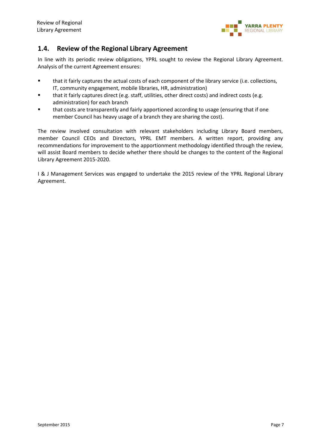

### **1.4. Review of the Regional Library Agreement**

In line with its periodic review obligations, YPRL sought to review the Regional Library Agreement. Analysis of the current Agreement ensures:

- that it fairly captures the actual costs of each component of the library service (i.e. collections, IT, community engagement, mobile libraries, HR, administration)
- that it fairly captures direct (e.g. staff, utilities, other direct costs) and indirect costs (e.g. administration) for each branch
- that costs are transparently and fairly apportioned according to usage (ensuring that if one member Council has heavy usage of a branch they are sharing the cost).

The review involved consultation with relevant stakeholders including Library Board members, member Council CEOs and Directors, YPRL EMT members. A written report, providing any recommendations for improvement to the apportionment methodology identified through the review, will assist Board members to decide whether there should be changes to the content of the Regional Library Agreement 2015-2020.

I & J Management Services was engaged to undertake the 2015 review of the YPRL Regional Library Agreement.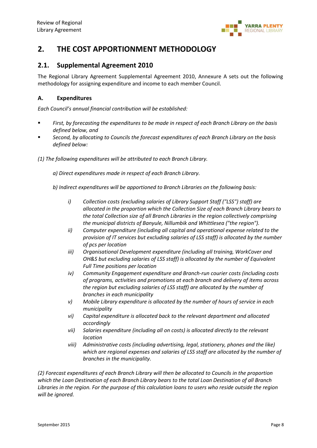

# **2. THE COST APPORTIONMENT METHODOLOGY**

### **2.1. Supplemental Agreement 2010**

The Regional Library Agreement Supplemental Agreement 2010, Annexure A sets out the following methodology for assigning expenditure and income to each member Council.

#### **A. Expenditures**

*Each Council's annual financial contribution will be established:*

- *First, by forecasting the expenditures to be made in respect of each Branch Library on the basis defined below, and*
- *Second, by allocating to Councils the forecast expenditures of each Branch Library on the basis defined below:*
- *(1) The following expenditures will be attributed to each Branch Library.*
	- *a) Direct expenditures made in respect of each Branch Library.*
	- *b) Indirect expenditures will be apportioned to Branch Libraries on the following basis:*
		- *i) Collection costs (excluding salaries of Library Support Staff ("LSS") staff) are allocated in the proportion which the Collection Size of each Branch Library bears to the total Collection size of all Branch Libraries in the region collectively comprising the municipal districts of Banyule, Nillumbik and Whittlesea ("the region").*
		- *ii) Computer expenditure (including all capital and operational expense related to the provision of IT services but excluding salaries of LSS staff) is allocated by the number of pcs per location*
		- *iii) Organisational Development expenditure (including all training, WorkCover and OH&S but excluding salaries of LSS staff) is allocated by the number of Equivalent Full Time positions per location*
		- *iv) Community Engagement expenditure and Branch-run courier costs (including costs of programs, activities and promotions at each branch and delivery of items across the region but excluding salaries of LSS staff) are allocated by the number of branches in each municipality*
		- *v) Mobile Library expenditure is allocated by the number of hours of service in each municipality*
		- *vi) Capital expenditure is allocated back to the relevant department and allocated accordingly*
		- *vii) Salaries expenditure (including all on costs) is allocated directly to the relevant location*
		- *viii) Administrative costs (including advertising, legal, stationery, phones and the like) which are regional expenses and salaries of LSS staff are allocated by the number of branches in the municipality.*

*(2) Forecast expenditures of each Branch Library will then be allocated to Councils in the proportion which the Loan Destination of each Branch Library bears to the total Loan Destination of all Branch Libraries in the region. For the purpose of this calculation loans to users who reside outside the region will be ignored.*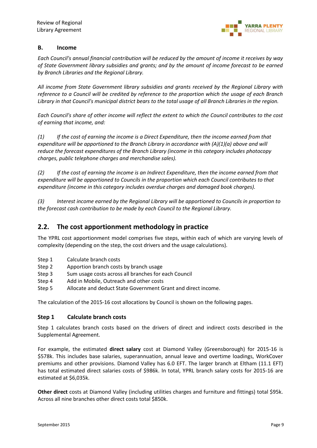

#### **B. Income**

*Each Council's annual financial contribution will be reduced by the amount of income it receives by way of State Government library subsidies and grants; and by the amount of income forecast to be earned by Branch Libraries and the Regional Library.* 

*All income from State Government library subsidies and grants received by the Regional Library with reference to a Council will be credited by reference to the proportion which the usage of each Branch Library in that Council's municipal district bears to the total usage of all Branch Libraries in the region.* 

*Each Council's share of other income will reflect the extent to which the Council contributes to the cost of earning that income, and:*

*(1) If the cost of earning the income is a Direct Expenditure, then the income earned from that expenditure will be apportioned to the Branch Library in accordance with (A)(1)(a) above and will reduce the forecast expenditures of the Branch Library (income in this category includes photocopy charges, public telephone charges and merchandise sales).*

*(2) If the cost of earning the income is an Indirect Expenditure, then the income earned from that expenditure will be apportioned to Councils in the proportion which each Council contributes to that expenditure (income in this category includes overdue charges and damaged book charges).*

*(3) Interest income earned by the Regional Library will be apportioned to Councils in proportion to the forecast cash contribution to be made by each Council to the Regional Library.*

### **2.2. The cost apportionment methodology in practice**

The YPRL cost apportionment model comprises five steps, within each of which are varying levels of complexity (depending on the step, the cost drivers and the usage calculations).

- Step 1 Calculate branch costs
- Step 2 Apportion branch costs by branch usage
- Step 3 Sum usage costs across all branches for each Council
- Step 4 Add in Mobile, Outreach and other costs
- Step 5 Allocate and deduct State Government Grant and direct income.

The calculation of the 2015-16 cost allocations by Council is shown on the following pages.

#### **Step 1 Calculate branch costs**

Step 1 calculates branch costs based on the drivers of direct and indirect costs described in the Supplemental Agreement.

For example, the estimated **direct salary** cost at Diamond Valley (Greensborough) for 2015-16 is \$578k. This includes base salaries, superannuation, annual leave and overtime loadings, WorkCover premiums and other provisions. Diamond Valley has 6.0 EFT. The larger branch at Eltham (11.1 EFT) has total estimated direct salaries costs of \$986k. In total, YPRL branch salary costs for 2015-16 are estimated at \$6,035k.

**Other direct** costs at Diamond Valley (including utilities charges and furniture and fittings) total \$95k. Across all nine branches other direct costs total \$850k.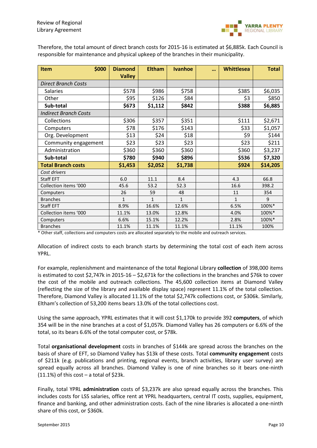

Therefore, the total amount of direct branch costs for 2015-16 is estimated at \$6,885k. Each Council is responsible for maintenance and physical upkeep of the branches in their municipality.

| \$000<br><b>Item</b>         | <b>Diamond</b><br><b>Valley</b> | <b>Eltham</b> | <b>Ivanhoe</b> | $\ddot{\phantom{a}}$ | <b>Whittlesea</b> | <b>Total</b> |
|------------------------------|---------------------------------|---------------|----------------|----------------------|-------------------|--------------|
| <b>Direct Branch Costs</b>   |                                 |               |                |                      |                   |              |
| <b>Salaries</b>              | \$578                           | \$986         | \$758          |                      | \$385             | \$6,035      |
| Other                        | \$95                            | \$126         | \$84           |                      | \$3               | \$850        |
| Sub-total                    | \$673                           | \$1,112       | \$842          |                      | \$388             | \$6,885      |
| <b>Indirect Branch Costs</b> |                                 |               |                |                      |                   |              |
| Collections                  | \$306                           | \$357         | \$351          |                      | \$111             | \$2,671      |
| Computers                    | \$78                            | \$176         | \$143          |                      | \$33              | \$1,057      |
| Org. Development             | \$13                            | \$24          | \$18           |                      | \$9               | \$144        |
| Community engagement         | \$23                            | \$23          | \$23           |                      | \$23              | \$211        |
| Administration               | \$360                           | \$360         | \$360          |                      | \$360             | \$3,237      |
| Sub-total                    | \$780                           | \$940         | \$896          |                      | \$536             | \$7,320      |
| <b>Total Branch costs</b>    | \$1,453                         | \$2,052       | \$1,738        |                      | \$924             | \$14,205     |
| Cost drivers                 |                                 |               |                |                      |                   |              |
| <b>Staff EFT</b>             | 6.0                             | 11.1          | 8.4            |                      | 4.3               | 66.8         |
| Collection items '000        | 45.6                            | 53.2          | 52.3           |                      | 16.6              | 398.2        |
| Computers                    | 26                              | 59            | 48             |                      | 11                | 354          |
| <b>Branches</b>              | $\mathbf{1}$                    | $\mathbf{1}$  | $\mathbf{1}$   |                      | $\mathbf{1}$      | 9            |
| <b>Staff EFT</b>             | 8.9%                            | 16.6%         | 12.6%          |                      | 6.5%              | 100%*        |
| Collection items '000        | 11.1%                           | 13.0%         | 12.8%          |                      | 4.0%              | 100%*        |
| Computers                    | 6.6%                            | 15.1%         | 12.2%          |                      | 2.8%              | 100%*        |
| <b>Branches</b>              | 11.1%                           | 11.1%         | 11.1%          |                      | 11.1%             | 100%         |

\* Other staff, collections and computers costs are allocated separately to the mobile and outreach services.

Allocation of indirect costs to each branch starts by determining the total cost of each item across YPRL.

For example, replenishment and maintenance of the total Regional Library **collection** of 398,000 items is estimated to cost \$2,747k in 2015-16 – \$2,671k for the collections in the branches and \$76k to cover the cost of the mobile and outreach collections. The 45,600 collection items at Diamond Valley (reflecting the size of the library and available display space) represent 11.1% of the total collection. Therefore, Diamond Valley is allocated 11.1% of the total \$2,747k collections cost, or \$306k. Similarly, Eltham's collection of 53,200 items bears 13.0% of the total collections cost.

Using the same approach, YPRL estimates that it will cost \$1,170k to provide 392 **computers**, of which 354 will be in the nine branches at a cost of \$1,057k. Diamond Valley has 26 computers or 6.6% of the total, so its bears 6.6% of the total computer cost, or \$78k.

Total **organisational development** costs in branches of \$144k are spread across the branches on the basis of share of EFT, so Diamond Valley has \$13k of these costs. Total **community engagement** costs of \$211k (e.g. publications and printing, regional events, branch activities, library user survey) are spread equally across all branches. Diamond Valley is one of nine branches so it bears one-ninth  $(11.1%)$  of this cost – a total of \$23k.

Finally, total YPRL **administration** costs of \$3,237k are also spread equally across the branches. This includes costs for LSS salaries, office rent at YPRL headquarters, central IT costs, supplies, equipment, finance and banking, and other administration costs. Each of the nine libraries is allocated a one-ninth share of this cost, or \$360k.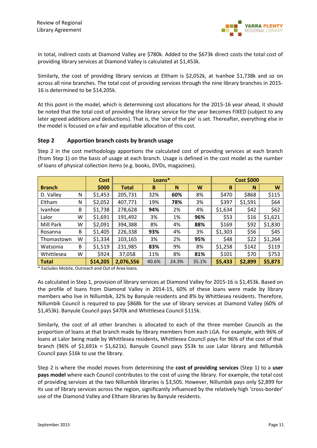

In total, indirect costs at Diamond Valley are \$780k. Added to the \$673k direct costs the total cost of providing library services at Diamond Valley is calculated at \$1,453k.

Similarly, the cost of providing library services at Eltham is \$2,052k, at Ivanhoe \$1,738k and so on across all nine branches. The total cost of providing services through the nine library branches in 2015- 16 is determined to be \$14,205k.

At this point in the model, which is determining cost allocations for the 2015-16 year ahead, it should be noted that the total cost of providing the library service for the year becomes FIXED (subject to any later agreed additions and deductions). That is, the 'size of the pie' is set. Thereafter, everything else in the model is focused on a fair and equitable allocation of this cost.

#### **Step 2 Apportion branch costs by branch usage**

|               |   | <b>Cost</b> | Loans*       |       |       |       |         | <b>Cost \$000</b> |         |
|---------------|---|-------------|--------------|-------|-------|-------|---------|-------------------|---------|
| <b>Branch</b> |   | \$000       | <b>Total</b> | B     | N     | W     | B       | N                 | W       |
| D. Valley     | N | \$1,453     | 205,731      | 32%   | 60%   | 8%    | \$470   | \$868             | \$115   |
| Eltham        | N | \$2,052     | 407,771      | 19%   | 78%   | 3%    | \$397   | \$1,591           | \$64    |
| Ivanhoe       | B | \$1,738     | 278,628      | 94%   | 2%    | 4%    | \$1,634 | \$42              | \$62    |
| Lalor         | w | \$1,691     | 191,492      | 3%    | 1%    | 96%   | \$53    | \$16              | \$1,621 |
| Mill Park     | W | \$2,091     | 394,388      | 8%    | 4%    | 88%   | \$169   | \$92              | \$1,830 |
| Rosanna       | B | \$1,405     | 226,338      | 93%   | 4%    | 3%    | \$1,303 | \$56              | \$45    |
| Thomastown    | w | \$1,334     | 103,165      | 3%    | 2%    | 95%   | \$48    | \$22              | \$1,264 |
| Watsonia      | B | \$1,519     | 231,985      | 83%   | 9%    | 8%    | \$1,258 | \$142             | \$119   |
| Whittlesea    | W | \$924       | 37,058       | 11%   | 8%    | 81%   | \$101   | \$70              | \$753   |
| <b>Total</b>  |   | \$14,205    | 2,076,556    | 40.6% | 24.3% | 35.1% | \$5,433 | \$2,899           | \$5,873 |

Step 2 in the cost methodology apportions the calculated cost of providing services at each branch (from Step 1) on the basis of usage at each branch. Usage is defined in the cost model as the number of loans of physical collection items (e.g. books, DVDs, magazines).

\* Excludes Mobile, Outreach and Out of Area loans.

As calculated in Step 1, provision of library services at Diamond Valley for 2015-16 is \$1,453k. Based on the profile of loans from Diamond Valley in 2014-15, 60% of these loans were made by library members who live in Nillumbik, 32% by Banyule residents and 8% by Whittlesea residents. Therefore, Nillumbik Council is required to pay \$868k for the use of library services at Diamond Valley (60% of \$1,453k). Banyule Council pays \$470k and Whittlesea Council \$115k.

Similarly, the cost of all other branches is allocated to each of the three member Councils as the proportion of loans at that branch made by library members from each LGA. For example, with 96% of loans at Lalor being made by Whittlesea residents, Whittlesea Council pays for 96% of the cost of that branch (96% of \$1,691k = \$1,621k). Banyule Council pays \$53k to use Lalor library and Nillumbik Council pays \$16k to use the library.

Step 2 is where the model moves from determining the **cost of providing services** (Step 1) to a **user pays model** where each Council contributes to the cost of using the library. For example, the total cost of providing services at the two Nillumbik libraries is \$3,505. However, Nillumbik pays only \$2,899 for its use of library services across the region, significantly influenced by the relatively high 'cross-border' use of the Diamond Valley and Eltham libraries by Banyule residents.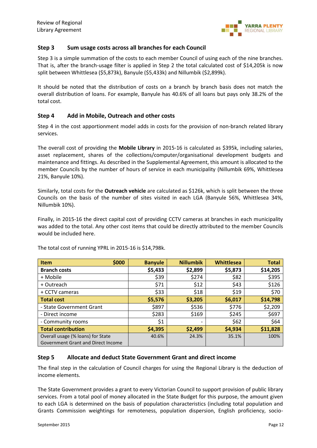

#### **Step 3 Sum usage costs across all branches for each Council**

Step 3 is a simple summation of the costs to each member Council of using each of the nine branches. That is, after the branch-usage filter is applied in Step 2 the total calculated cost of \$14,205k is now split between Whittlesea (\$5,873k), Banyule (\$5,433k) and Nillumbik (\$2,899k).

It should be noted that the distribution of costs on a branch by branch basis does not match the overall distribution of loans. For example, Banyule has 40.6% of all loans but pays only 38.2% of the total cost.

#### **Step 4 Add in Mobile, Outreach and other costs**

Step 4 in the cost apportionment model adds in costs for the provision of non-branch related library services.

The overall cost of providing the **Mobile Library** in 2015-16 is calculated as \$395k, including salaries, asset replacement, shares of the collections/computer/organisational development budgets and maintenance and fittings. As described in the Supplemental Agreement, this amount is allocated to the member Councils by the number of hours of service in each municipality (Nillumbik 69%, Whittlesea 21%, Banyule 10%).

Similarly, total costs for the **Outreach vehicle** are calculated as \$126k, which is split between the three Councils on the basis of the number of sites visited in each LGA (Banyule 56%, Whittlesea 34%, Nillumbik 10%).

Finally, in 2015-16 the direct capital cost of providing CCTV cameras at branches in each municipality was added to the total. Any other cost items that could be directly attributed to the member Councils would be included here.

| \$000<br><b>Item</b>                                                           | <b>Banyule</b> | <b>Nillumbik</b>         | Whittlesea | <b>Total</b> |
|--------------------------------------------------------------------------------|----------------|--------------------------|------------|--------------|
| <b>Branch costs</b>                                                            | \$5,433        | \$2,899                  | \$5,873    | \$14,205     |
| + Mobile                                                                       | \$39           | \$274                    | \$82       | \$395        |
| + Outreach                                                                     | \$71           | \$12                     | \$43       | \$126        |
| + CCTV cameras                                                                 | \$33           | \$18                     | \$19       | \$70         |
| <b>Total cost</b>                                                              | \$5,576        | \$3,205                  | \$6,017    | \$14,798     |
| - State Government Grant                                                       | \$897          | \$536                    | \$776      | \$2,209      |
| - Direct income                                                                | \$283          | \$169                    | \$245      | \$697        |
| - Community rooms                                                              | \$1            | $\overline{\phantom{a}}$ | \$62       | \$64         |
| <b>Total contribution</b>                                                      | \$4,395        | \$2,499                  | \$4,934    | \$11,828     |
| Overall usage (% loans) for State<br><b>Government Grant and Direct Income</b> | 40.6%          | 24.3%                    | 35.1%      | 100%         |

The total cost of running YPRL in 2015-16 is \$14,798k.

#### **Step 5 Allocate and deduct State Government Grant and direct income**

The final step in the calculation of Council charges for using the Regional Library is the deduction of income elements.

The State Government provides a grant to every Victorian Council to support provision of public library services. From a total pool of money allocated in the State Budget for this purpose, the amount given to each LGA is determined on the basis of population characteristics (including total population and Grants Commission weightings for remoteness, population dispersion, English proficiency, socio-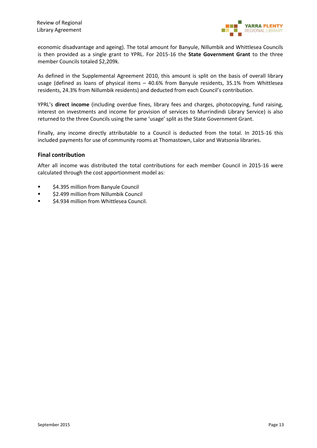

economic disadvantage and ageing). The total amount for Banyule, Nillumbik and Whittlesea Councils is then provided as a single grant to YPRL. For 2015-16 the **State Government Grant** to the three member Councils totaled \$2,209k.

As defined in the Supplemental Agreement 2010, this amount is split on the basis of overall library usage (defined as loans of physical items – 40.6% from Banyule residents, 35.1% from Whittlesea residents, 24.3% from Nillumbik residents) and deducted from each Council's contribution.

YPRL's **direct income** (including overdue fines, library fees and charges, photocopying, fund raising, interest on investments and income for provision of services to Murrindindi Library Service) is also returned to the three Councils using the same 'usage' split as the State Government Grant.

Finally, any income directly attributable to a Council is deducted from the total. In 2015-16 this included payments for use of community rooms at Thomastown, Lalor and Watsonia libraries.

#### **Final contribution**

After all income was distributed the total contributions for each member Council in 2015-16 were calculated through the cost apportionment model as:

- \$4.395 million from Banyule Council
- **52.499 million from Nillumbik Council**
- \$4.934 million from Whittlesea Council.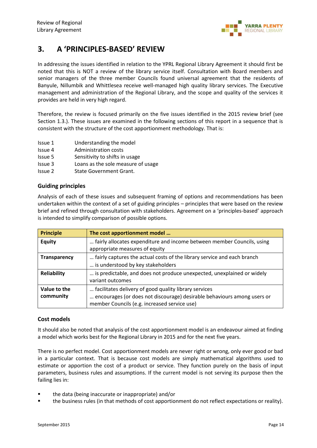

# **3. A 'PRINCIPLES-BASED' REVIEW**

In addressing the issues identified in relation to the YPRL Regional Library Agreement it should first be noted that this is NOT a review of the library service itself. Consultation with Board members and senior managers of the three member Councils found universal agreement that the residents of Banyule, Nillumbik and Whittlesea receive well-managed high quality library services. The Executive management and administration of the Regional Library, and the scope and quality of the services it provides are held in very high regard.

Therefore, the review is focused primarily on the five issues identified in the 2015 review brief (see Section 1.3.). These issues are examined in the following sections of this report in a sequence that is consistent with the structure of the cost apportionment methodology. That is:

- Issue 1 Understanding the model
- Issue 4 Administration costs
- Issue 5 Sensitivity to shifts in usage
- Issue 3 Loans as the sole measure of usage
- Issue 2 State Government Grant.

#### **Guiding principles**

Analysis of each of these issues and subsequent framing of options and recommendations has been undertaken within the context of a set of guiding principles – principles that were based on the review brief and refined through consultation with stakeholders. Agreement on a 'principles-based' approach is intended to simplify comparison of possible options.

| <b>Principle</b>          | The cost apportionment model                                                                                                                                                     |
|---------------------------|----------------------------------------------------------------------------------------------------------------------------------------------------------------------------------|
| <b>Equity</b>             | fairly allocates expenditure and income between member Councils, using<br>appropriate measures of equity                                                                         |
| <b>Transparency</b>       | fairly captures the actual costs of the library service and each branch<br>is understood by key stakeholders                                                                     |
| <b>Reliability</b>        | is predictable, and does not produce unexpected, unexplained or widely<br>variant outcomes                                                                                       |
| Value to the<br>community | facilitates delivery of good quality library services<br>encourages (or does not discourage) desirable behaviours among users or<br>member Councils (e.g. increased service use) |

#### **Cost models**

It should also be noted that analysis of the cost apportionment model is an endeavour aimed at finding a model which works best for the Regional Library in 2015 and for the next five years.

There is no perfect model. Cost apportionment models are never right or wrong, only ever good or bad in a particular context. That is because cost models are simply mathematical algorithms used to estimate or apportion the cost of a product or service. They function purely on the basis of input parameters, business rules and assumptions. If the current model is not serving its purpose then the failing lies in:

- **fi** the data (being inaccurate or inappropriate) and/or
- the business rules (in that methods of cost apportionment do not reflect expectations or reality).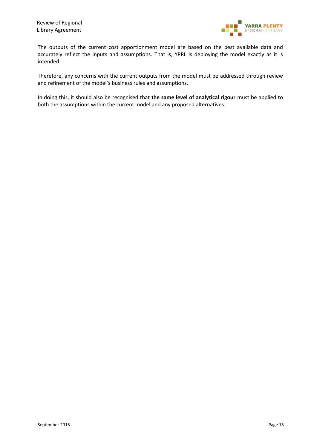

The outputs of the current cost apportionment model are based on the best available data and accurately reflect the inputs and assumptions. That is, YPRL is deploying the model exactly as it is intended.

Therefore, any concerns with the current outputs from the model must be addressed through review and refinement of the model's business rules and assumptions.

In doing this, it should also be recognised that **the same level of analytical rigour** must be applied to both the assumptions within the current model and any proposed alternatives.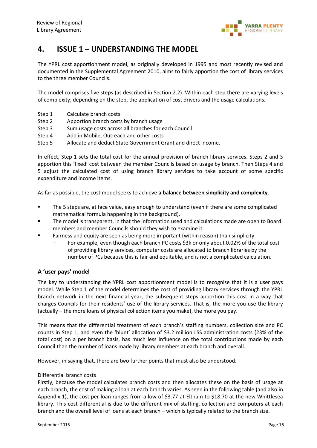

# **4. ISSUE 1 – UNDERSTANDING THE MODEL**

The YPRL cost apportionment model, as originally developed in 1995 and most recently revised and documented in the Supplemental Agreement 2010, aims to fairly apportion the cost of library services to the three member Councils.

The model comprises five steps (as described in Section 2.2). Within each step there are varying levels of complexity, depending on the step, the application of cost drivers and the usage calculations.

- Step 1 Calculate branch costs
- Step 2 Apportion branch costs by branch usage
- Step 3 Sum usage costs across all branches for each Council
- Step 4 Add in Mobile, Outreach and other costs
- Step 5 Allocate and deduct State Government Grant and direct income.

In effect, Step 1 sets the total cost for the annual provision of branch library services. Steps 2 and 3 apportion this 'fixed' cost between the member Councils based on usage by branch. Then Steps 4 and 5 adjust the calculated cost of using branch library services to take account of some specific expenditure and income items.

As far as possible, the cost model seeks to achieve **a balance between simplicity and complexity**.

- The 5 steps are, at face value, easy enough to understand (even if there are some complicated mathematical formula happening in the background).
- The model is transparent, in that the information used and calculations made are open to Board members and member Councils should they wish to examine it.
- Fairness and equity are seen as being more important (within reason) than simplicity.
	- For example, even though each branch PC costs \$3k or only about 0.02% of the total cost of providing library services, computer costs are allocated to branch libraries by the number of PCs because this is fair and equitable, and is not a complicated calculation.

#### **A 'user pays' model**

The key to understanding the YPRL cost apportionment model is to recognise that it is a user pays model. While Step 1 of the model determines the cost of providing library services through the YPRL branch network in the next financial year, the subsequent steps apportion this cost in a way that charges Councils for their residents' use of the library services. That is, the more you use the library (actually – the more loans of physical collection items you make), the more you pay.

This means that the differential treatment of each branch's staffing numbers, collection size and PC counts in Step 1, and even the 'blunt' allocation of \$3.2 million LSS administration costs (23% of the total cost) on a per branch basis, has much less influence on the total contributions made by each Council than the number of loans made by library members at each branch and overall.

However, in saying that, there are two further points that must also be understood.

#### Differential branch costs

Firstly, because the model calculates branch costs and then allocates these on the basis of usage at each branch, the cost of making a loan at each branch varies. As seen in the following table (and also in Appendix 1), the cost per loan ranges from a low of \$3.77 at Eltham to \$18.70 at the new Whittlesea library. This cost differential is due to the different mix of staffing, collection and computers at each branch and the overall level of loans at each branch – which is typically related to the branch size.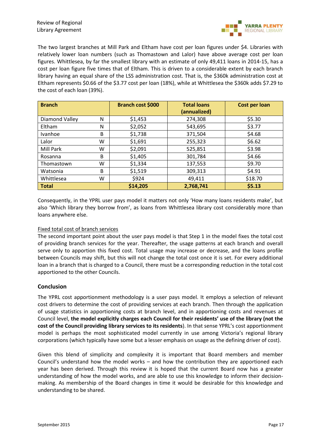

The two largest branches at Mill Park and Eltham have cost per loan figures under \$4. Libraries with relatively lower loan numbers (such as Thomastown and Lalor) have above average cost per loan figures. Whittlesea, by far the smallest library with an estimate of only 49,411 loans in 2014-15, has a cost per loan figure five times that of Eltham. This is driven to a considerable extent by each branch library having an equal share of the LSS administration cost. That is, the \$360k administration cost at Eltham represents \$0.66 of the \$3.77 cost per loan (18%), while at Whittlesea the \$360k adds \$7.29 to the cost of each loan (39%).

| <b>Branch</b>  |   | Branch cost \$000 | <b>Total loans</b><br>(annualized) | <b>Cost per loan</b> |
|----------------|---|-------------------|------------------------------------|----------------------|
| Diamond Valley | N | \$1,453           | 274,308                            | \$5.30               |
| Eltham         | N | \$2,052           | 543,695                            | \$3.77               |
| Ivanhoe        | B | \$1,738           | 371,504                            | \$4.68               |
| Lalor          | W | \$1,691           | 255,323                            | \$6.62               |
| Mill Park      | W | \$2,091           | 525,851                            | \$3.98               |
| Rosanna        | B | \$1,405           | 301,784                            | \$4.66               |
| Thomastown     | W | \$1,334           | 137,553                            | \$9.70               |
| Watsonia       | B | \$1,519           | 309,313                            | \$4.91               |
| Whittlesea     | W | \$924             | 49,411                             | \$18.70              |
| <b>Total</b>   |   | \$14,205          | 2,768,741                          | \$5.13               |

Consequently, in the YPRL user pays model it matters not only 'How many loans residents make', but also 'Which library they borrow from', as loans from Whittlesea library cost considerably more than loans anywhere else.

#### Fixed total cost of branch services

The second important point about the user pays model is that Step 1 in the model fixes the total cost of providing branch services for the year. Thereafter, the usage patterns at each branch and overall serve only to apportion this fixed cost. Total usage may increase or decrease, and the loans profile between Councils may shift, but this will not change the total cost once it is set. For every additional loan in a branch that is charged to a Council, there must be a corresponding reduction in the total cost apportioned to the other Councils.

#### **Conclusion**

The YPRL cost apportionment methodology is a user pays model. It employs a selection of relevant cost drivers to determine the cost of providing services at each branch. Then through the application of usage statistics in apportioning costs at branch level, and in apportioning costs and revenues at Council level, **the model explicitly charges each Council for their residents' use of the library (not the cost of the Council providing library services to its residents**). In that sense YPRL's cost apportionment model is perhaps the most sophisticated model currently in use among Victoria's regional library corporations (which typically have some but a lesser emphasis on usage as the defining driver of cost).

Given this blend of simplicity and complexity it is important that Board members and member Council's understand how the model works – and how the contribution they are apportioned each year has been derived. Through this review it is hoped that the current Board now has a greater understanding of how the model works, and are able to use this knowledge to inform their decisionmaking. As membership of the Board changes in time it would be desirable for this knowledge and understanding to be shared.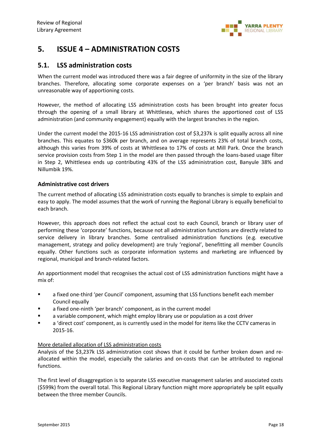

# **5. ISSUE 4 – ADMINISTRATION COSTS**

#### **5.1. LSS administration costs**

When the current model was introduced there was a fair degree of uniformity in the size of the library branches. Therefore, allocating some corporate expenses on a 'per branch' basis was not an unreasonable way of apportioning costs.

However, the method of allocating LSS administration costs has been brought into greater focus through the opening of a small library at Whittlesea, which shares the apportioned cost of LSS administration (and community engagement) equally with the largest branches in the region.

Under the current model the 2015-16 LSS administration cost of \$3,237k is split equally across all nine branches. This equates to \$360k per branch, and on average represents 23% of total branch costs, although this varies from 39% of costs at Whittlesea to 17% of costs at Mill Park. Once the branch service provision costs from Step 1 in the model are then passed through the loans-based usage filter in Step 2, Whittlesea ends up contributing 43% of the LSS administration cost, Banyule 38% and Nillumbik 19%.

#### **Administrative cost drivers**

The current method of allocating LSS administration costs equally to branches is simple to explain and easy to apply. The model assumes that the work of running the Regional Library is equally beneficial to each branch.

However, this approach does not reflect the actual cost to each Council, branch or library user of performing these 'corporate' functions, because not all administration functions are directly related to service delivery in library branches. Some centralised administration functions (e.g. executive management, strategy and policy development) are truly 'regional', benefitting all member Councils equally. Other functions such as corporate information systems and marketing are influenced by regional, municipal and branch-related factors.

An apportionment model that recognises the actual cost of LSS administration functions might have a mix of:

- a fixed one-third 'per Council' component, assuming that LSS functions benefit each member Council equally
- **EXEC** a fixed one-ninth 'per branch' component, as in the current model
- a variable component, which might employ library use or population as a cost driver
- a 'direct cost' component, as is currently used in the model for items like the CCTV cameras in 2015-16.

#### More detailed allocation of LSS administration costs

Analysis of the \$3,237k LSS administration cost shows that it could be further broken down and reallocated within the model, especially the salaries and on-costs that can be attributed to regional functions.

The first level of disaggregation is to separate LSS executive management salaries and associated costs (\$599k) from the overall total. This Regional Library function might more appropriately be split equally between the three member Councils.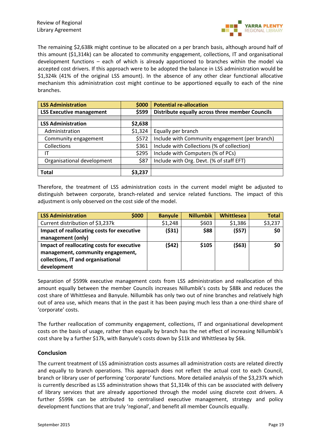

The remaining \$2,638k might continue to be allocated on a per branch basis, although around half of this amount (\$1,314k) can be allocated to community engagement, collections, IT and organisational development functions – each of which is already apportioned to branches within the model via accepted cost drivers. If this approach were to be adopted the balance in LSS administration would be \$1,324k (41% of the original LSS amount). In the absence of any other clear functional allocative mechanism this administration cost might continue to be apportioned equally to each of the nine branches.

| <b>LSS Administration</b>       | \$000   | <b>Potential re-allocation</b>                  |
|---------------------------------|---------|-------------------------------------------------|
| <b>LSS Executive management</b> | \$599   | Distribute equally across three member Councils |
|                                 |         |                                                 |
| <b>LSS Administration</b>       | \$2,638 |                                                 |
| Administration                  | \$1,324 | Equally per branch                              |
| Community engagement            | \$572   | Include with Community engagement (per branch)  |
| Collections                     | \$361   | Include with Collections (% of collection)      |
| ΙT                              | \$295   | Include with Computers (% of PCs)               |
| Organisational development      | \$87    | Include with Org. Devt. (% of staff EFT)        |
|                                 |         |                                                 |
| <b>Total</b>                    | \$3,237 |                                                 |

Therefore, the treatment of LSS administration costs in the current model might be adjusted to distinguish between corporate, branch-related and service related functions. The impact of this adjustment is only observed on the cost side of the model.

| <b>LSS Administration</b>                  | \$000 | <b>Banyule</b> | <b>Nillumbik</b> | Whittlesea | <b>Total</b> |
|--------------------------------------------|-------|----------------|------------------|------------|--------------|
| Current distribution of \$3,237k           |       | \$1,248        | \$603            | \$1,386    | \$3,237      |
| Impact of reallocating costs for executive |       | (531)          | \$88             | (557)      | \$0          |
| management (only)                          |       |                |                  |            |              |
| Impact of reallocating costs for executive |       | (\$42)         | \$105            | (\$63)     | \$0          |
| management, community engagement,          |       |                |                  |            |              |
| collections, IT and organisational         |       |                |                  |            |              |
| development                                |       |                |                  |            |              |

Separation of \$599k executive management costs from LSS administration and reallocation of this amount equally between the member Councils increases Nillumbik's costs by \$88k and reduces the cost share of Whittlesea and Banyule. Nillumbik has only two out of nine branches and relatively high out of area use, which means that in the past it has been paying much less than a one-third share of 'corporate' costs.

The further reallocation of community engagement, collections, IT and organisational development costs on the basis of usage, rather than equally by branch has the net effect of increasing Nillumbik's cost share by a further \$17k, with Banyule's costs down by \$11k and Whittlesea by \$6k.

#### **Conclusion**

The current treatment of LSS administration costs assumes all administration costs are related directly and equally to branch operations. This approach does not reflect the actual cost to each Council, branch or library user of performing 'corporate' functions. More detailed analysis of the \$3,237k which is currently described as LSS administration shows that \$1,314k of this can be associated with delivery of library services that are already apportioned through the model using discrete cost drivers. A further \$599k can be attributed to centralised executive management, strategy and policy development functions that are truly 'regional', and benefit all member Councils equally.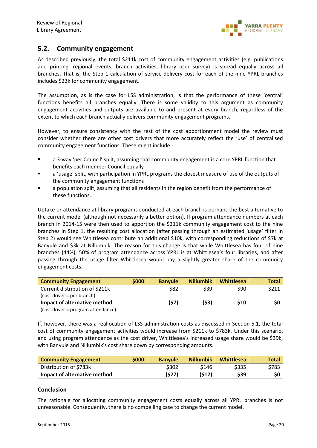### **5.2. Community engagement**

As described previously, the total \$211k cost of community engagement activities (e.g. publications and printing, regional events, branch activities, library user survey) is spread equally across all branches. That is, the Step 1 calculation of service delivery cost for each of the nine YPRL branches includes \$23k for community engagement.

The assumption, as is the case for LSS administration, is that the performance of these 'central' functions benefits all branches equally. There is some validity to this argument as community engagement activities and outputs are available to and present at every branch, regardless of the extent to which each branch actually delivers community engagement programs.

However, to ensure consistency with the rest of the cost apportionment model the review must consider whether there are other cost drivers that more accurately reflect the 'use' of centralised community engagement functions. These might include:

- a 3-way 'per Council' split, assuming that community engagement is a core YPRL function that benefits each member Council equally
- a 'usage' split, with participation in YPRL programs the closest measure of use of the outputs of the community engagement functions
- a population split, assuming that all residents in the region benefit from the performance of these functions.

Uptake or attendance at library programs conducted at each branch is perhaps the best alternative to the current model (although not necessarily a better option). If program attendance numbers at each branch in 2014-15 were then used to apportion the \$211k community engagement cost to the nine branches in Step 1, the resulting cost allocation (after passing through an estimated 'usage' filter in Step 2) would see Whittlesea contribute an additional \$10k, with corresponding reductions of \$7k at Banyule and \$3k at Nillumbik. The reason for this change is that while Whittlesea has four of nine branches (44%), 50% of program attendance across YPRL is at Whittlesea's four libraries, and after passing through the usage filter Whittlesea would pay a slightly greater share of the community engagement costs.

| <b>Community Engagement</b>        | \$000 | <b>Banvule</b> | <b>Nillumbik</b> | Whittlesea | <b>Total</b> |
|------------------------------------|-------|----------------|------------------|------------|--------------|
| Current distribution of \$211k     |       | \$82           | \$39             | \$90       | \$211        |
| $(cost driver = per branch)$       |       |                |                  |            |              |
| Impact of alternative method       |       | (57)           | (\$3)            | \$10       | \$0          |
| (cost driver = program attendance) |       |                |                  |            |              |

If, however, there was a reallocation of LSS administration costs as discussed in Section 5.1, the total cost of community engagement activities would increase from \$211k to \$783k. Under this scenario, and using program attendance as the cost driver, Whittlesea's increased usage share would be \$39k, with Banyule and Nillumbik's cost share down by corresponding amounts.

| <b>Community Engagement</b>  | \$000 | <b>Banvule</b> | <b>Nillumbik</b> | Whittlesea | <b>Total</b> |
|------------------------------|-------|----------------|------------------|------------|--------------|
| Distribution of \$783k       |       | \$302          | \$146            | \$335      | \$783        |
| Impact of alternative method |       | (\$27)         | (\$12)           | \$39       | \$0          |

#### **Conclusion**

The rationale for allocating community engagement costs equally across all YPRL branches is not unreasonable. Consequently, there is no compelling case to change the current model.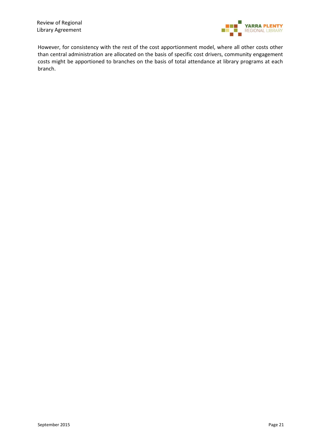Review of Regional Library Agreement



However, for consistency with the rest of the cost apportionment model, where all other costs other than central administration are allocated on the basis of specific cost drivers, community engagement costs might be apportioned to branches on the basis of total attendance at library programs at each branch.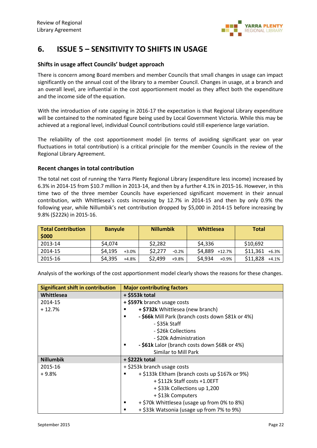

# **6. ISSUE 5 – SENSITIVITY TO SHIFTS IN USAGE**

#### **Shifts in usage affect Councils' budget approach**

There is concern among Board members and member Councils that small changes in usage can impact significantly on the annual cost of the library to a member Council. Changes in usage, at a branch and an overall level, are influential in the cost apportionment model as they affect both the expenditure and the income side of the equation.

With the introduction of rate capping in 2016-17 the expectation is that Regional Library expenditure will be contained to the nominated figure being used by Local Government Victoria. While this may be achieved at a regional level, individual Council contributions could still experience large variation.

The reliability of the cost apportionment model (in terms of avoiding significant year on year fluctuations in total contribution) is a critical principle for the member Councils in the review of the Regional Library Agreement.

#### **Recent changes in total contribution**

The total net cost of running the Yarra Plenty Regional Library (expenditure less income) increased by 6.3% in 2014-15 from \$10.7 million in 2013-14, and then by a further 4.1% in 2015-16. However, in this time two of the three member Councils have experienced significant movement in their annual contribution, with Whittlesea's costs increasing by 12.7% in 2014-15 and then by only 0.9% the following year, while Nillumbik's net contribution dropped by \$5,000 in 2014-15 before increasing by 9.8% (\$222k) in 2015-16.

| <b>Total Contribution</b><br>\$000 | <b>Banyule</b>     | <b>Nillumbik</b>   | Whittlesea         | <b>Total</b>      |
|------------------------------------|--------------------|--------------------|--------------------|-------------------|
| 2013-14                            | \$4,074            | \$2,282            | \$4,336            | \$10,692          |
| 2014-15                            | \$4,195<br>$+3.0%$ | \$2,277<br>$-0.2%$ | \$4,889 +12.7%     | $$11,361$ +6.3%   |
| 2015-16                            | \$4,395<br>$+4.8%$ | \$2,499<br>$+9.8%$ | \$4,934<br>$+0.9%$ | \$11,828<br>+4.1% |

Analysis of the workings of the cost apportionment model clearly shows the reasons for these changes.

| <b>Significant shift in contribution</b> | <b>Major contributing factors</b>                      |
|------------------------------------------|--------------------------------------------------------|
| Whittlesea                               | $+$ \$553 $k$ total                                    |
| 2014-15                                  | + \$597k branch usage costs                            |
| $+12.7%$                                 | + \$732k Whittlesea (new branch)<br>п                  |
|                                          | - \$66k Mill Park (branch costs down \$81k or 4%)<br>п |
|                                          | - \$35k Staff                                          |
|                                          | - \$26k Collections                                    |
|                                          | - \$20k Administration                                 |
|                                          | - \$61k Lalor (branch costs down \$68k or 4%)<br>п     |
|                                          | Similar to Mill Park                                   |
| <b>Nillumbik</b>                         | $+$ \$222 $k$ total                                    |
| 2015-16                                  | + \$253k branch usage costs                            |
| $+9.8%$                                  | + \$133k Eltham (branch costs up \$167k or 9%)<br>п    |
|                                          | + \$112k Staff costs +1.0EFT                           |
|                                          | + \$33k Collections up 1,200                           |
|                                          | + \$13k Computers                                      |
|                                          | + \$70k Whittlesea (usage up from 0% to 8%)<br>п       |
|                                          | + \$33k Watsonia (usage up from 7% to 9%)<br>п         |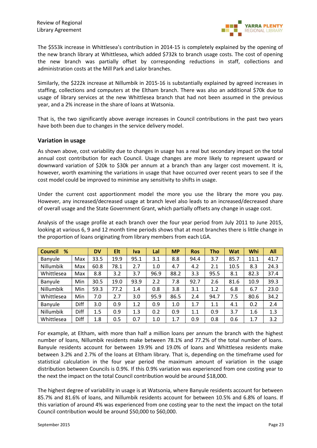

The \$553k increase in Whittlesea's contribution in 2014-15 is completely explained by the opening of the new branch library at Whittlesea, which added \$732k to branch usage costs. The cost of opening the new branch was partially offset by corresponding reductions in staff, collections and administration costs at the Mill Park and Lalor branches.

Similarly, the \$222k increase at Nillumbik in 2015-16 is substantially explained by agreed increases in staffing, collections and computers at the Eltham branch. There was also an additional \$70k due to usage of library services at the new Whittlesea branch that had not been assumed in the previous year, and a 2% increase in the share of loans at Watsonia.

That is, the two significantly above average increases in Council contributions in the past two years have both been due to changes in the service delivery model.

#### **Variation in usage**

As shown above, cost variability due to changes in usage has a real but secondary impact on the total annual cost contribution for each Council. Usage changes are more likely to represent upward or downward variation of \$20k to \$30k per annum at a branch than any larger cost movement. It is, however, worth examining the variations in usage that have occurred over recent years to see if the cost model could be improved to minimise any sensitivity to shifts in usage.

Under the current cost apportionment model the more you use the library the more you pay. However, any increased/decreased usage at branch level also leads to an increased/decreased share of overall usage and the State Government Grant, which partially offsets any change in usage cost.

Analysis of the usage profile at each branch over the four year period from July 2011 to June 2015, looking at various 6, 9 and 12 month time periods shows that at most branches there is little change in the proportion of loans originating from library members from each LGA.

| %<br><b>Council</b> |      | <b>DV</b> | Elt  | Iva  | Lal  | <b>MP</b> | <b>Ros</b> | <b>Tho</b> | <b>Wat</b> | Whi  | All  |
|---------------------|------|-----------|------|------|------|-----------|------------|------------|------------|------|------|
| Banyule             | Max  | 33.5      | 19.9 | 95.1 | 3.1  | 8.8       | 94.4       | 3.7        | 85.7       | 11.1 | 41.7 |
| Nillumbik           | Max  | 60.8      | 78.1 | 2.7  | 1.0  | 4.7       | 4.2        | 2.1        | 10.5       | 8.3  | 24.3 |
| Whittlesea          | Max  | 8.8       | 3.2  | 3.7  | 96.9 | 88.2      | 3.3        | 95.5       | 8.1        | 82.3 | 37.4 |
| Banyule             | Min  | 30.5      | 19.0 | 93.9 | 2.2  | 7.8       | 92.7       | 2.6        | 81.6       | 10.9 | 39.3 |
| Nillumbik           | Min  | 59.3      | 77.2 | 1.4  | 0.8  | 3.8       | 3.1        | 1.2        | 6.8        | 6.7  | 23.0 |
| Whittlesea          | Min  | 7.0       | 2.7  | 3.0  | 95.9 | 86.5      | 2.4        | 94.7       | 7.5        | 80.6 | 34.2 |
| Banyule             | Diff | 3.0       | 0.9  | 1.2  | 0.9  | 1.0       | 1.7        | 1.1        | 4.1        | 0.2  | 2.4  |
| Nillumbik           | Diff | 1.5       | 0.9  | 1.3  | 0.2  | 0.9       | 1.1        | 0.9        | 3.7        | 1.6  | 1.3  |
| Whittlesea          | Diff | 1.8       | 0.5  | 0.7  | 1.0  | 1.7       | 0.9        | 0.8        | 0.6        | 1.7  | 3.2  |

For example, at Eltham, with more than half a million loans per annum the branch with the highest number of loans, Nillumbik residents make between 78.1% and 77.2% of the total number of loans. Banyule residents account for between 19.9% and 19.0% of loans and Whittlesea residents make between 3.2% and 2.7% of the loans at Eltham library. That is, depending on the timeframe used for statistical calculation in the four year period the maximum amount of variation in the usage distribution between Councils is 0.9%. If this 0.9% variation was experienced from one costing year to the next the impact on the total Council contribution would be around \$18,000.

The highest degree of variability in usage is at Watsonia, where Banyule residents account for between 85.7% and 81.6% of loans, and Nillumbik residents account for between 10.5% and 6.8% of loans. If this variation of around 4% was experienced from one costing year to the next the impact on the total Council contribution would be around \$50,000 to \$60,000.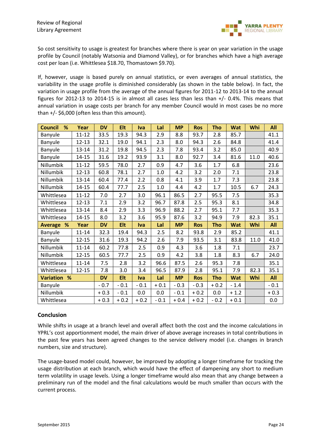

So cost sensitivity to usage is greatest for branches where there is year on year variation in the usage profile by Council (notably Watsonia and Diamond Valley), or for branches which have a high average cost per loan (i.e. Whittlesea \$18.70, Thomastown \$9.70).

If, however, usage is based purely on annual statistics, or even averages of annual statistics, the variability in the usage profile is diminished considerably (as shown in the table below). In fact, the variation in usage profile from the average of the annual figures for 2011-12 to 2013-14 to the annual figures for 2012-13 to 2014-15 is in almost all cases less than less than +/- 0.4%. This means that annual variation in usage costs per branch for any member Council would in most cases be no more than +/- \$6,000 (often less than this amount).

| <b>Council</b><br>% | Year      | <b>DV</b> | Elt        | <b>Iva</b> | Lal     | <b>MP</b> | <b>Ros</b> | <b>Tho</b> | <b>Wat</b> | Whi  | All    |
|---------------------|-----------|-----------|------------|------------|---------|-----------|------------|------------|------------|------|--------|
| Banyule             | $11 - 12$ | 33.5      | 19.3       | 94.3       | 2.9     | 8.8       | 93.7       | 2.8        | 85.7       |      | 41.1   |
| Banyule             | $12 - 13$ | 32.1      | 19.0       | 94.1       | 2.3     | 8.0       | 94.3       | 2.6        | 84.8       |      | 41.4   |
| Banyule             | 13-14     | 31.2      | 19.8       | 94.5       | 2.3     | 7.8       | 93.4       | 3.2        | 85.0       |      | 40.9   |
| Banyule             | $14 - 15$ | 31.6      | 19.2       | 93.9       | 3.1     | 8.0       | 92.7       | 3.4        | 81.6       | 11.0 | 40.6   |
| Nillumbik           | $11 - 12$ | 59.5      | 78.0       | 2.7        | 0.9     | 4.7       | 3.6        | 1.7        | 6.8        |      | 23.6   |
| Nillumbik           | $12 - 13$ | 60.8      | 78.1       | 2.7        | $1.0\,$ | 4.2       | 3.2        | 2.0        | 7.1        |      | 23.8   |
| Nillumbik           | 13-14     | 60.4      | 77.4       | 2.2        | 0.8     | 4.1       | 3.9        | 1.7        | 7.3        |      | 23.8   |
| Nillumbik           | $14 - 15$ | 60.4      | 77.7       | 2.5        | $1.0\,$ | 4.4       | 4.2        | 1.7        | 10.5       | 6.7  | 24.3   |
| Whittlesea          | $11 - 12$ | 7.0       | 2.7        | 3.0        | 96.1    | 86.5      | 2.7        | 95.5       | 7.5        |      | 35.3   |
| Whittlesea          | $12 - 13$ | 7.1       | 2.9        | 3.2        | 96.7    | 87.8      | 2.5        | 95.3       | 8.1        |      | 34.8   |
| Whittlesea          | $13 - 14$ | 8.4       | 2.9        | 3.3        | 96.9    | 88.2      | 2.7        | 95.1       | 7.7        |      | 35.3   |
| Whittlesea          | $14 - 15$ | 8.0       | 3.2        | 3.6        | 95.9    | 87.6      | 3.2        | 94.9       | 7.9        | 82.3 | 35.1   |
| Average %           | Year      | <b>DV</b> | Elt        | <b>Iva</b> | Lal     | <b>MP</b> | <b>Ros</b> | <b>Tho</b> | <b>Wat</b> | Whi  | All    |
| Banyule             | $11 - 14$ | 32.3      | 19.4       | 94.3       | 2.5     | 8.2       | 93.8       | 2.9        | 85.2       |      | 41.1   |
| Banyule             | 12-15     | 31.6      | 19.3       | 94.2       | 2.6     | 7.9       | 93.5       | 3.1        | 83.8       | 11.0 | 41.0   |
| Nillumbik           | $11 - 14$ | 60.2      | 77.8       | 2.5        | 0.9     | 4.3       | 3.6        | 1.8        | 7.1        |      | 23.7   |
| Nillumbik           | $12 - 15$ | 60.5      | 77.7       | 2.5        | 0.9     | 4.2       | 3.8        | 1.8        | 8.3        | 6.7  | 24.0   |
| Whittlesea          | $11 - 14$ | 7.5       | 2.8        | 3.2        | 96.6    | 87.5      | 2.6        | 95.3       | 7.8        |      | 35.1   |
| Whittlesea          | $12 - 15$ | 7.8       | 3.0        | 3.4        | 96.5    | 87.9      | 2.8        | 95.1       | 7.9        | 82.3 | 35.1   |
| <b>Variation %</b>  |           | <b>DV</b> | <b>Elt</b> | <b>Iva</b> | Lal     | <b>MP</b> | <b>Ros</b> | <b>Tho</b> | <b>Wat</b> | Whi  | All    |
| Banyule             |           | $-0.7$    | $-0.1$     | $-0.1$     | $+0.1$  | $-0.3$    | $-0.3$     | $+0.2$     | $-1.4$     |      | $-0.1$ |
| Nillumbik           |           | $+0.3$    | $-0.1$     | 0.0        | 0.0     | $-0.1$    | $+0.2$     | 0.0        | $+1.2$     |      | $+0.3$ |
| Whittlesea          |           | $+0.3$    | $+0.2$     | $+0.2$     | $-0.1$  | $+0.4$    | $+0.2$     | $-0.2$     | $+0.1$     |      | 0.0    |

#### **Conclusion**

While shifts in usage at a branch level and overall affect both the cost and the income calculations in YPRL's cost apportionment model, the main driver of above average increases in total contributions in the past few years has been agreed changes to the service delivery model (i.e. changes in branch numbers, size and structure).

The usage-based model could, however, be improved by adopting a longer timeframe for tracking the usage distribution at each branch, which would have the effect of dampening any short to medium term volatility in usage levels. Using a longer timeframe would also mean that any change between a preliminary run of the model and the final calculations would be much smaller than occurs with the current process.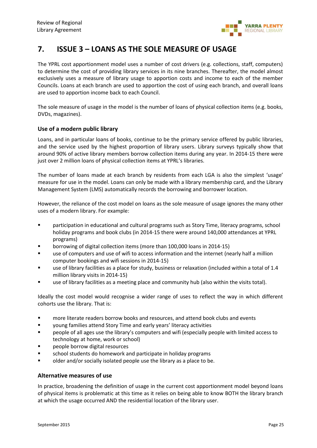

# **7. ISSUE 3 – LOANS AS THE SOLE MEASURE OF USAGE**

The YPRL cost apportionment model uses a number of cost drivers (e.g. collections, staff, computers) to determine the cost of providing library services in its nine branches. Thereafter, the model almost exclusively uses a measure of library usage to apportion costs and income to each of the member Councils. Loans at each branch are used to apportion the cost of using each branch, and overall loans are used to apportion income back to each Council.

The sole measure of usage in the model is the number of loans of physical collection items (e.g. books, DVDs, magazines).

#### **Use of a modern public library**

Loans, and in particular loans of books, continue to be the primary service offered by public libraries, and the service used by the highest proportion of library users. Library surveys typically show that around 90% of active library members borrow collection items during any year. In 2014-15 there were just over 2 million loans of physical collection items at YPRL's libraries.

The number of loans made at each branch by residents from each LGA is also the simplest 'usage' measure for use in the model. Loans can only be made with a library membership card, and the Library Management System (LMS) automatically records the borrowing and borrower location.

However, the reliance of the cost model on loans as the sole measure of usage ignores the many other uses of a modern library. For example:

- participation in educational and cultural programs such as Story Time, literacy programs, school holiday programs and book clubs (in 2014-15 there were around 140,000 attendances at YPRL programs)
- borrowing of digital collection items (more than 100,000 loans in 2014-15)
- use of computers and use of wifi to access information and the internet (nearly half a million computer bookings and wifi sessions in 2014-15)
- use of library facilities as a place for study, business or relaxation (included within a total of 1.4 million library visits in 2014-15)
- use of library facilities as a meeting place and community hub (also within the visits total).

Ideally the cost model would recognise a wider range of uses to reflect the way in which different cohorts use the library. That is:

- more literate readers borrow books and resources, and attend book clubs and events
- young families attend Story Time and early years' literacy activities
- people of all ages use the library's computers and wifi (especially people with limited access to technology at home, work or school)
- people borrow digital resources
- school students do homework and participate in holiday programs
- **•** older and/or socially isolated people use the library as a place to be.

#### **Alternative measures of use**

In practice, broadening the definition of usage in the current cost apportionment model beyond loans of physical items is problematic at this time as it relies on being able to know BOTH the library branch at which the usage occurred AND the residential location of the library user.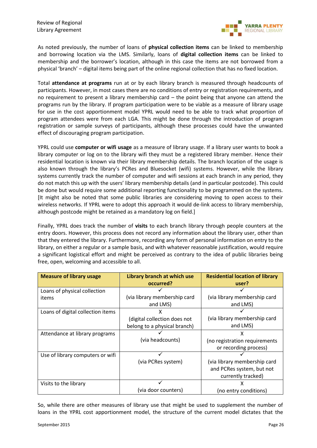

As noted previously, the number of loans of **physical collection items** can be linked to membership and borrowing location via the LMS. Similarly, loans of **digital collection items** can be linked to membership and the borrower's location, although in this case the items are not borrowed from a physical 'branch' – digital items being part of the online regional collection that has no fixed location.

Total **attendance at programs** run at or by each library branch is measured through headcounts of participants. However, in most cases there are no conditions of entry or registration requirements, and no requirement to present a library membership card – the point being that anyone can attend the programs run by the library. If program participation were to be viable as a measure of library usage for use in the cost apportionment model YPRL would need to be able to track what proportion of program attendees were from each LGA. This might be done through the introduction of program registration or sample surveys of participants, although these processes could have the unwanted effect of discouraging program participation.

YPRL could use **computer or wifi usage** as a measure of library usage. If a library user wants to book a library computer or log on to the library wifi they must be a registered library member. Hence their residential location is known via their library membership details. The branch location of the usage is also known through the library's PCRes and Bluesocket (wifi) systems. However, while the library systems currently track the number of computer and wifi sessions at each branch in any period, they do not match this up with the users' library membership details (and in particular postcode). This could be done but would require some additional reporting functionality to be programmed on the systems. [It might also be noted that some public libraries are considering moving to open access to their wireless networks. If YPRL were to adopt this approach it would de-link access to library membership, although postcode might be retained as a mandatory log on field.]

Finally, YPRL does track the number of **visits** to each branch library through people counters at the entry doors. However, this process does not record any information about the library user, other than that they entered the library. Furthermore, recording any form of personal information on entry to the library, on either a regular or a sample basis, and with whatever reasonable justification, would require a significant logistical effort and might be perceived as contrary to the idea of public libraries being free, open, welcoming and accessible to all.

| <b>Measure of library usage</b>   | Library branch at which use  | <b>Residential location of library</b> |  |
|-----------------------------------|------------------------------|----------------------------------------|--|
|                                   | occurred?                    | user?                                  |  |
| Loans of physical collection      |                              |                                        |  |
| items                             | (via library membership card | (via library membership card           |  |
|                                   | and LMS)                     | and LMS)                               |  |
| Loans of digital collection items | x                            |                                        |  |
|                                   | (digital collection does not | (via library membership card           |  |
|                                   | belong to a physical branch) | and LMS)                               |  |
| Attendance at library programs    |                              | x                                      |  |
|                                   | (via headcounts)             | (no registration requirements          |  |
|                                   |                              | or recording process)                  |  |
| Use of library computers or wifi  |                              |                                        |  |
|                                   | (via PCRes system)           | (via library membership card           |  |
|                                   |                              | and PCRes system, but not              |  |
|                                   |                              | currently tracked)                     |  |
| Visits to the library             |                              | x                                      |  |
|                                   | (via door counters)          | (no entry conditions)                  |  |

So, while there are other measures of library use that might be used to supplement the number of loans in the YPRL cost apportionment model, the structure of the current model dictates that the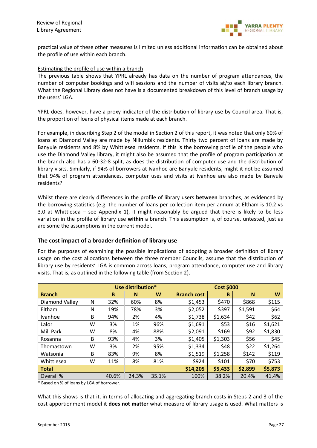

practical value of these other measures is limited unless additional information can be obtained about the profile of use within each branch.

#### Estimating the profile of use within a branch

The previous table shows that YPRL already has data on the number of program attendances, the number of computer bookings and wifi sessions and the number of visits at/to each library branch. What the Regional Library does not have is a documented breakdown of this level of branch usage by the users' LGA.

YPRL does, however, have a proxy indicator of the distribution of library use by Council area. That is, the proportion of loans of physical items made at each branch.

For example, in describing Step 2 of the model in Section 2 of this report, it was noted that only 60% of loans at Diamond Valley are made by Nillumbik residents. Thirty two percent of loans are made by Banyule residents and 8% by Whittlesea residents. If this is the borrowing profile of the people who use the Diamond Valley library, it might also be assumed that the profile of program participation at the branch also has a 60-32-8 split, as does the distribution of computer use and the distribution of library visits. Similarly, if 94% of borrowers at Ivanhoe are Banyule residents, might it not be assumed that 94% of program attendances, computer uses and visits at Ivanhoe are also made by Banyule residents?

Whilst there are clearly differences in the profile of library users **between** branches, as evidenced by the borrowing statistics (e.g. the number of loans per collection item per annum at Eltham is 10.2 vs 3.0 at Whittlesea – see Appendix 1), it might reasonably be argued that there is likely to be less variation in the profile of library use **within** a branch. This assumption is, of course, untested, just as are some the assumptions in the current model.

#### **The cost impact of a broader definition of library use**

For the purposes of examining the possible implications of adopting a broader definition of library usage on the cost allocations between the three member Councils, assume that the distribution of library use by residents' LGA is common across loans, program attendance, computer use and library visits. That is, as outlined in the following table (from Section 2).

|                |   |       | Use distribution* |       |                    | <b>Cost \$000</b> |         |         |
|----------------|---|-------|-------------------|-------|--------------------|-------------------|---------|---------|
| <b>Branch</b>  |   | B     | N                 | W     | <b>Branch cost</b> | B                 | N       | W       |
| Diamond Valley | N | 32%   | 60%               | 8%    | \$1,453            | \$470             | \$868   | \$115   |
| Eltham         | N | 19%   | 78%               | 3%    | \$2,052            | \$397             | \$1,591 | \$64    |
| Ivanhoe        | B | 94%   | 2%                | 4%    | \$1,738            | \$1,634           | \$42    | \$62    |
| Lalor          | W | 3%    | 1%                | 96%   | \$1,691            | \$53              | \$16    | \$1,621 |
| Mill Park      | W | 8%    | 4%                | 88%   | \$2,091            | \$169             | \$92    | \$1,830 |
| Rosanna        | B | 93%   | 4%                | 3%    | \$1,405            | \$1,303           | \$56    | \$45    |
| Thomastown     | W | 3%    | 2%                | 95%   | \$1,334            | \$48              | \$22    | \$1,264 |
| Watsonia       | B | 83%   | 9%                | 8%    | \$1,519            | \$1,258           | \$142   | \$119   |
| Whittlesea     | W | 11%   | 8%                | 81%   | \$924              | \$101             | \$70    | \$753   |
| <b>Total</b>   |   |       |                   |       | \$14,205           | \$5,433           | \$2,899 | \$5,873 |
| Overall %      |   | 40.6% | 24.3%             | 35.1% | 100%               | 38.2%             | 20.4%   | 41.4%   |

\* Based on % of loans by LGA of borrower.

What this shows is that it, in terms of allocating and aggregating branch costs in Steps 2 and 3 of the cost apportionment model it **does not matter** what measure of library usage is used. What matters is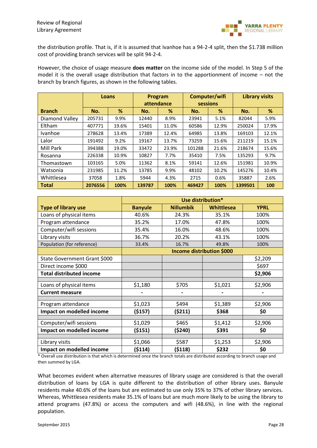

the distribution profile. That is, if it is assumed that Ivanhoe has a 94-2-4 split, then the \$1.738 million cost of providing branch services will be split 94-2-4.

However, the choice of usage measure **does matter** on the income side of the model. In Step 5 of the model it is the overall usage distribution that factors in to the apportionment of income – not the branch by branch figures, as shown in the following tables.

|                |         | Loans | Program    |       |          | Computer/wifi | <b>Library visits</b> |       |  |
|----------------|---------|-------|------------|-------|----------|---------------|-----------------------|-------|--|
|                |         |       | attendance |       | sessions |               |                       |       |  |
| <b>Branch</b>  | No.     | %     | No.        | %     | No.      | %             | No.                   | %     |  |
| Diamond Valley | 205731  | 9.9%  | 12440      | 8.9%  | 23941    | 5.1%          | 82044                 | 5.9%  |  |
| Eltham         | 407771  | 19.6% | 15401      | 11.0% | 60586    | 12.9%         | 250024                | 17.9% |  |
| <b>Ivanhoe</b> | 278628  | 13.4% | 17389      | 12.4% | 64985    | 13.8%         | 169103                | 12.1% |  |
| Lalor          | 191492  | 9.2%  | 19167      | 13.7% | 73259    | 15.6%         | 211219                | 15.1% |  |
| Mill Park      | 394388  | 19.0% | 33472      | 23.9% | 101288   | 21.6%         | 218674                | 15.6% |  |
| Rosanna        | 226338  | 10.9% | 10827      | 7.7%  | 35410    | 7.5%          | 135293                | 9.7%  |  |
| Thomastown     | 103165  | 5.0%  | 11362      | 8.1%  | 59141    | 12.6%         | 151981                | 10.9% |  |
| Watsonia       | 231985  | 11.2% | 13785      | 9.9%  | 48102    | 10.2%         | 145276                | 10.4% |  |
| Whittlesea     | 37058   | 1.8%  | 5944       | 4.3%  | 2715     | 0.6%          | 35887                 | 2.6%  |  |
| Total          | 2076556 | 100%  | 139787     | 100%  | 469427   | 100%          | 1399501               | 100   |  |

|                                 |                                  |                  | Use distribution* |             |  |  |  |  |  |
|---------------------------------|----------------------------------|------------------|-------------------|-------------|--|--|--|--|--|
| <b>Type of library use</b>      | <b>Banyule</b>                   | <b>Nillumbik</b> | Whittlesea        | <b>YPRL</b> |  |  |  |  |  |
| Loans of physical items         | 40.6%                            | 24.3%            | 35.1%             | 100%        |  |  |  |  |  |
| Program attendance              | 35.2%                            | 17.0%            | 47.8%             | 100%        |  |  |  |  |  |
| Computer/wifi sessions          | 35.4%                            | 16.0%            | 48.6%             | 100%        |  |  |  |  |  |
| Library visits                  | 36.7%                            | 20.2%            | 43.1%             | 100%        |  |  |  |  |  |
| Population (for reference)      | 33.4%                            | 16.7%            | 49.8%             | 100%        |  |  |  |  |  |
|                                 | <b>Income distribution \$000</b> |                  |                   |             |  |  |  |  |  |
| State Government Grant \$000    |                                  |                  |                   | \$2,209     |  |  |  |  |  |
| Direct income \$000             |                                  |                  |                   | \$697       |  |  |  |  |  |
| <b>Total distributed income</b> |                                  |                  |                   | \$2,906     |  |  |  |  |  |
|                                 |                                  |                  |                   |             |  |  |  |  |  |
| Loans of physical items         | \$1,180                          | \$705            | \$1,021           | \$2,906     |  |  |  |  |  |
| <b>Current measure</b>          |                                  |                  |                   |             |  |  |  |  |  |
|                                 |                                  |                  |                   |             |  |  |  |  |  |
| Program attendance              | \$1,023                          | \$494            | \$1,389           | \$2,906     |  |  |  |  |  |
| Impact on modelled income       | ( \$157)                         | (5211)           | \$368             | \$0         |  |  |  |  |  |
|                                 |                                  |                  |                   |             |  |  |  |  |  |
| Computer/wifi sessions          | \$1,029                          | \$465            | \$1,412           | \$2,906     |  |  |  |  |  |
| Impact on modelled income       | ( \$151)                         | (5240)           | \$391             | \$0         |  |  |  |  |  |
|                                 |                                  |                  |                   |             |  |  |  |  |  |
| Library visits                  | \$1,066                          | \$587            | \$1,253           | \$2,906     |  |  |  |  |  |
| Impact on modelled income       | (\$114)                          | (5118)           | \$232             | \$0         |  |  |  |  |  |

\* Overall use distribution is that which is determined once the branch totals are distributed according to branch usage and then summed by LGA.

What becomes evident when alternative measures of library usage are considered is that the overall distribution of loans by LGA is quite different to the distribution of other library uses. Banyule residents make 40.6% of the loans but are estimated to use only 35% to 37% of other library services. Whereas, Whittlesea residents make 35.1% of loans but are much more likely to be using the library to attend programs (47.8%) or access the computers and wifi (48.6%), in line with the regional population.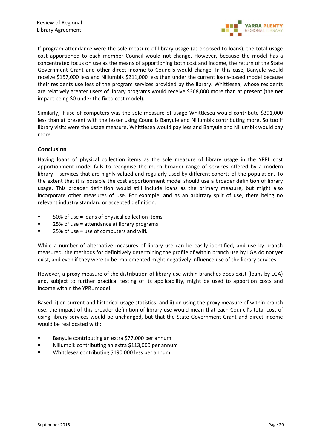

If program attendance were the sole measure of library usage (as opposed to loans), the total usage cost apportioned to each member Council would not change. However, because the model has a concentrated focus on use as the means of apportioning both cost and income, the return of the State Government Grant and other direct income to Councils would change. In this case, Banyule would receive \$157,000 less and Nillumbik \$211,000 less than under the current loans-based model because their residents use less of the program services provided by the library. Whittlesea, whose residents are relatively greater users of library programs would receive \$368,000 more than at present (the net impact being \$0 under the fixed cost model).

Similarly, if use of computers was the sole measure of usage Whittlesea would contribute \$391,000 less than at present with the lesser using Councils Banyule and Nillumbik contributing more. So too if library visits were the usage measure, Whittlesea would pay less and Banyule and Nillumbik would pay more.

#### **Conclusion**

Having loans of physical collection items as the sole measure of library usage in the YPRL cost apportionment model fails to recognise the much broader range of services offered by a modern library – services that are highly valued and regularly used by different cohorts of the population. To the extent that it is possible the cost apportionment model should use a broader definition of library usage. This broader definition would still include loans as the primary measure, but might also incorporate other measures of use. For example, and as an arbitrary split of use, there being no relevant industry standard or accepted definition:

- 50% of use = loans of physical collection items
- 25% of use = attendance at library programs
- $\blacksquare$  25% of use = use of computers and wifi.

While a number of alternative measures of library use can be easily identified, and use by branch measured, the methods for definitively determining the profile of within branch use by LGA do not yet exist, and even if they were to be implemented might negatively influence use of the library services.

However, a proxy measure of the distribution of library use within branches does exist (loans by LGA) and, subject to further practical testing of its applicability, might be used to apportion costs and income within the YPRL model.

Based: i) on current and historical usage statistics; and ii) on using the proxy measure of within branch use, the impact of this broader definition of library use would mean that each Council's total cost of using library services would be unchanged, but that the State Government Grant and direct income would be reallocated with:

- Banyule contributing an extra \$77,000 per annum
- Nillumbik contributing an extra \$113,000 per annum
- Whittlesea contributing \$190,000 less per annum.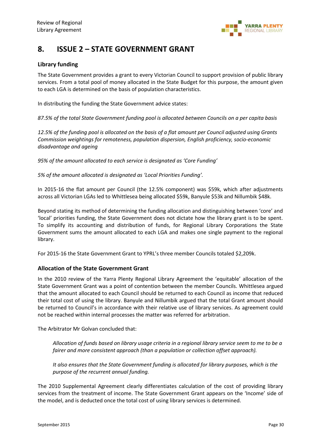

# **8. ISSUE 2 – STATE GOVERNMENT GRANT**

#### **Library funding**

The State Government provides a grant to every Victorian Council to support provision of public library services. From a total pool of money allocated in the State Budget for this purpose, the amount given to each LGA is determined on the basis of population characteristics.

In distributing the funding the State Government advice states:

*87.5% of the total State Government funding pool is allocated between Councils on a per capita basis*

*12.5% of the funding pool is allocated on the basis of a flat amount per Council adjusted using Grants Commission weightings for remoteness, population dispersion, English proficiency, socio-economic disadvantage and ageing* 

*95% of the amount allocated to each service is designated as 'Core Funding'*

*5% of the amount allocated is designated as 'Local Priorities Funding'.*

In 2015-16 the flat amount per Council (the 12.5% component) was \$59k, which after adjustments across all Victorian LGAs led to Whittlesea being allocated \$59k, Banyule \$53k and Nillumbik \$48k.

Beyond stating its method of determining the funding allocation and distinguishing between 'core' and 'local' priorities funding, the State Government does not dictate how the library grant is to be spent. To simplify its accounting and distribution of funds, for Regional Library Corporations the State Government sums the amount allocated to each LGA and makes one single payment to the regional library.

For 2015-16 the State Government Grant to YPRL's three member Councils totaled \$2,209k.

#### **Allocation of the State Government Grant**

In the 2010 review of the Yarra Plenty Regional Library Agreement the 'equitable' allocation of the State Government Grant was a point of contention between the member Councils. Whittlesea argued that the amount allocated to each Council should be returned to each Council as income that reduced their total cost of using the library. Banyule and Nillumbik argued that the total Grant amount should be returned to Council's in accordance with their relative use of library services. As agreement could not be reached within internal processes the matter was referred for arbitration.

The Arbitrator Mr Golvan concluded that:

*Allocation of funds based on library usage criteria in a regional library service seem to me to be a fairer and more consistent approach (than a population or collection offset approach).*

*It also ensures that the State Government funding is allocated for library purposes, which is the purpose of the recurrent annual funding.*

The 2010 Supplemental Agreement clearly differentiates calculation of the cost of providing library services from the treatment of income. The State Government Grant appears on the 'Income' side of the model, and is deducted once the total cost of using library services is determined.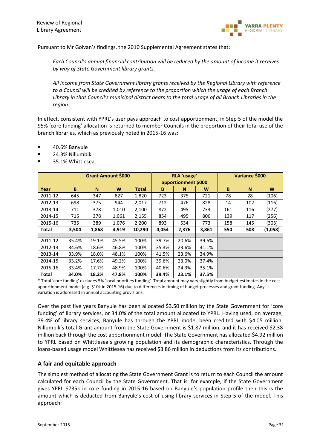

Pursuant to Mr Golvan's findings, the 2010 Supplemental Agreement states that:

*Each Council's annual financial contribution will be reduced by the amount of income it receives by way of State Government library grants.*

*All income from State Government library grants received by the Regional Library with reference to a Council will be credited by reference to the proportion which the usage of each Branch Library in that Council's municipal district bears to the total usage of all Branch Libraries in the region.*

In effect, consistent with YPRL's user pays approach to cost apportionment, in Step 5 of the model the 95% 'core funding' allocation is returned to member Councils in the proportion of their total use of the branch libraries, which as previously noted in 2015-16 was:

- 40.6% Banyule
- 24.3% Nillumbik
- 35.1% Whittlesea.

|              |       |       | <b>Grant Amount \$000</b> |        |       | RLA 'usage'<br>apportionment \$000 |       | <b>Variance \$000</b> |     |         |  |
|--------------|-------|-------|---------------------------|--------|-------|------------------------------------|-------|-----------------------|-----|---------|--|
| Year         | B     | N     | W                         | Total  | B     | N                                  | W     | B                     | N   | W       |  |
| 2011-12      | 645   | 347   | 827                       | 1,820  | 723   | 375                                | 721   | 78                    | 28  | (106)   |  |
| 2012-13      | 698   | 375   | 944                       | 2,017  | 712   | 476                                | 828   | 14                    | 102 | (116)   |  |
| 2013-14      | 711   | 378   | 1,010                     | 2,100  | 872   | 495                                | 733   | 161                   | 116 | (277)   |  |
| 2014-15      | 715   | 378   | 1,061                     | 2,155  | 854   | 495                                | 806   | 139                   | 117 | (256)   |  |
| 2015-16      | 735   | 389   | 1,076                     | 2,200  | 893   | 534                                | 773   | 158                   | 145 | (303)   |  |
| <b>Total</b> | 3,504 | 1,868 | 4,919                     | 10,290 | 4,054 | 2,376                              | 3,861 | 550                   | 508 | (1,058) |  |
|              |       |       |                           |        |       |                                    |       |                       |     |         |  |
| 2011-12      | 35.4% | 19.1% | 45.5%                     | 100%   | 39.7% | 20.6%                              | 39.6% |                       |     |         |  |
| 2012-13      | 34.6% | 18.6% | 46.8%                     | 100%   | 35.3% | 23.6%                              | 41.1% |                       |     |         |  |
| 2013-14      | 33.9% | 18.0% | 48.1%                     | 100%   | 41.5% | 23.6%                              | 34.9% |                       |     |         |  |
| 2014-15      | 33.2% | 17.6% | 49.2%                     | 100%   | 39.6% | 23.0%                              | 37.4% |                       |     |         |  |
| 2015-16      | 33.4% | 17.7% | 48.9%                     | 100%   | 40.6% | 24.3%                              | 35.1% |                       |     |         |  |
| <b>Total</b> | 34.0% | 18.2% | 47.8%                     | 100%   | 39.4% | 23.1%                              | 37.5% |                       |     |         |  |

\* Total 'core funding' excludes 5% 'local priorities funding'. Total amount may vary slightly from budget estimates in the cost apportionment model (e.g. \$10k in 2015-16) due to differences in timing of budget processes and grant funding. Any variation is addressed in annual accounting provisions.

Over the past five years Banyule has been allocated \$3.50 million by the State Government for 'core funding' of library services, or 34.0% of the total amount allocated to YPRL. Having used, on average, 39.4% of library services, Banyule has through the YPRL model been credited with \$4.05 million. Nillumbik's total Grant amount from the State Government is \$1.87 million, and it has received \$2.38 million back through the cost apportionment model. The State Government has allocated \$4.92 million to YPRL based on Whittlesea's growing population and its demographic characteristics. Through the loans-based usage model Whittlesea has received \$3.86 million in deductions from its contributions.

#### **A fair and equitable approach**

The simplest method of allocating the State Government Grant is to return to each Council the amount calculated for each Council by the State Government. That is, for example, if the State Government gives YPRL \$735k in core funding in 2015-16 based on Banyule's population profile then this is the amount which is deducted from Banyule's cost of using library services in Step 5 of the model. This approach: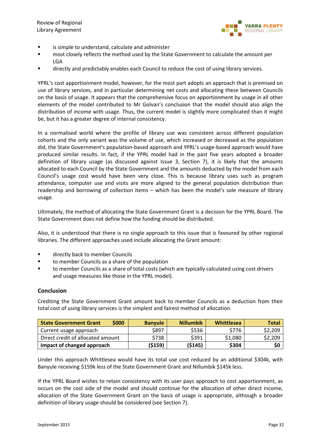

- is simple to understand, calculate and administer
- most closely reflects the method used by the State Government to calculate the amount per LGA
- **The directly and predictably enables each Council to reduce the cost of using library services.**

YPRL's cost apportionment model, however, for the most part adopts an approach that is premised on use of library services, and in particular determining net costs and allocating these between Councils on the basis of usage. It appears that the comprehensive focus on apportionment by usage in all other elements of the model contributed to Mr Golvan's conclusion that the model should also align the distribution of income with usage. Thus, the current model is slightly more complicated than it might be, but it has a greater degree of internal consistency.

In a normalised world where the profile of library use was consistent across different population cohorts and the only variant was the volume of use, which increased or decreased as the population did, the State Government's population-based approach and YPRL's usage-based approach would have produced similar results. In fact, if the YPRL model had in the past five years adopted a broader definition of library usage (as discussed against Issue 3, Section 7), it is likely that the amounts allocated to each Council by the State Government and the amounts deducted by the model from each Council's usage cost would have been very close. This is because library uses such as program attendance, computer use and visits are more aligned to the general population distribution than readership and borrowing of collection items – which has been the model's sole measure of library usage.

Ultimately, the method of allocating the State Government Grant is a decision for the YPRL Board. The State Government does not define how the funding should be distributed.

Also, it is understood that there is no single approach to this issue that is favoured by other regional libraries. The different approaches used include allocating the Grant amount:

- **Example 2** directly back to member Councils
- to member Councils as a share of the population
- to member Councils as a share of total costs (which are typically calculated using cost drivers and usage measures like those in the YPRL model).

#### **Conclusion**

Crediting the State Government Grant amount back to member Councils as a deduction from their total cost of using library services is the simplest and fairest method of allocation.

| \$000<br><b>State Government Grant</b> | <b>Banyule</b> | <b>Nillumbik</b> | <b>Whittlesea</b> | Total   |
|----------------------------------------|----------------|------------------|-------------------|---------|
| Current usage approach                 | \$897          | \$536            | \$776             | \$2,209 |
| Direct credit of allocated amount      | \$738          | \$391            | \$1,080           | \$2,209 |
| Impact of changed approach             | ( \$159)       | (5145)           | \$304             | \$0     |

Under this approach Whittlesea would have its total use cost reduced by an additional \$304k, with Banyule receiving \$159k less of the State Government Grant and Nillumbik \$145k less.

If the YPRL Board wishes to retain consistency with its user pays approach to cost apportionment, as occurs on the cost side of the model and should continue for the allocation of other direct income, allocation of the State Government Grant on the basis of usage is appropriate, although a broader definition of library usage should be considered (see Section 7).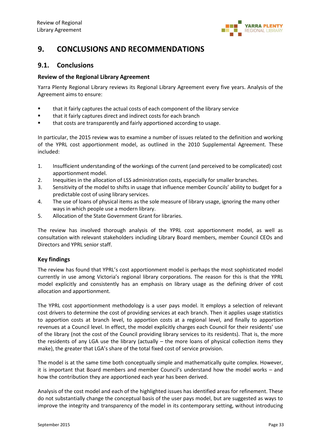

# **9. CONCLUSIONS AND RECOMMENDATIONS**

### **9.1. Conclusions**

#### **Review of the Regional Library Agreement**

Yarra Plenty Regional Library reviews its Regional Library Agreement every five years. Analysis of the Agreement aims to ensure:

- that it fairly captures the actual costs of each component of the library service
- that it fairly captures direct and indirect costs for each branch
- that costs are transparently and fairly apportioned according to usage.

In particular, the 2015 review was to examine a number of issues related to the definition and working of the YPRL cost apportionment model, as outlined in the 2010 Supplemental Agreement. These included:

- 1. Insufficient understanding of the workings of the current (and perceived to be complicated) cost apportionment model.
- 2. Inequities in the allocation of LSS administration costs, especially for smaller branches.
- 3. Sensitivity of the model to shifts in usage that influence member Councils' ability to budget for a predictable cost of using library services.
- 4. The use of loans of physical items as the sole measure of library usage, ignoring the many other ways in which people use a modern library.
- 5. Allocation of the State Government Grant for libraries.

The review has involved thorough analysis of the YPRL cost apportionment model, as well as consultation with relevant stakeholders including Library Board members, member Council CEOs and Directors and YPRL senior staff.

#### **Key findings**

The review has found that YPRL's cost apportionment model is perhaps the most sophisticated model currently in use among Victoria's regional library corporations. The reason for this is that the YPRL model explicitly and consistently has an emphasis on library usage as the defining driver of cost allocation and apportionment.

The YPRL cost apportionment methodology is a user pays model. It employs a selection of relevant cost drivers to determine the cost of providing services at each branch. Then it applies usage statistics to apportion costs at branch level, to apportion costs at a regional level, and finally to apportion revenues at a Council level. In effect, the model explicitly charges each Council for their residents' use of the library (not the cost of the Council providing library services to its residents). That is, the more the residents of any LGA use the library (actually – the more loans of physical collection items they make), the greater that LGA's share of the total fixed cost of service provision.

The model is at the same time both conceptually simple and mathematically quite complex. However, it is important that Board members and member Council's understand how the model works – and how the contribution they are apportioned each year has been derived.

Analysis of the cost model and each of the highlighted issues has identified areas for refinement. These do not substantially change the conceptual basis of the user pays model, but are suggested as ways to improve the integrity and transparency of the model in its contemporary setting, without introducing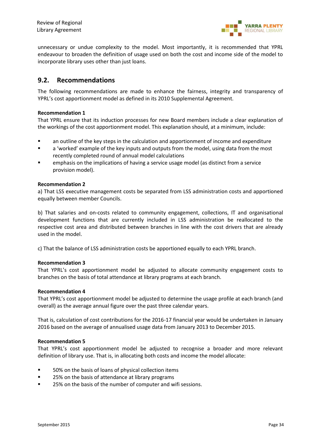

unnecessary or undue complexity to the model. Most importantly, it is recommended that YPRL endeavour to broaden the definition of usage used on both the cost and income side of the model to incorporate library uses other than just loans.

### **9.2. Recommendations**

The following recommendations are made to enhance the fairness, integrity and transparency of YPRL's cost apportionment model as defined in its 2010 Supplemental Agreement.

#### **Recommendation 1**

That YPRL ensure that its induction processes for new Board members include a clear explanation of the workings of the cost apportionment model. This explanation should, at a minimum, include:

- an outline of the key steps in the calculation and apportionment of income and expenditure
- a 'worked' example of the key inputs and outputs from the model, using data from the most recently completed round of annual model calculations
- emphasis on the implications of having a service usage model (as distinct from a service provision model).

#### **Recommendation 2**

a) That LSS executive management costs be separated from LSS administration costs and apportioned equally between member Councils.

b) That salaries and on-costs related to community engagement, collections, IT and organisational development functions that are currently included in LSS administration be reallocated to the respective cost area and distributed between branches in line with the cost drivers that are already used in the model.

c) That the balance of LSS administration costs be apportioned equally to each YPRL branch.

#### **Recommendation 3**

That YPRL's cost apportionment model be adjusted to allocate community engagement costs to branches on the basis of total attendance at library programs at each branch.

#### **Recommendation 4**

That YPRL's cost apportionment model be adjusted to determine the usage profile at each branch (and overall) as the average annual figure over the past three calendar years.

That is, calculation of cost contributions for the 2016-17 financial year would be undertaken in January 2016 based on the average of annualised usage data from January 2013 to December 2015.

#### **Recommendation 5**

That YPRL's cost apportionment model be adjusted to recognise a broader and more relevant definition of library use. That is, in allocating both costs and income the model allocate:

- 50% on the basis of loans of physical collection items
- 25% on the basis of attendance at library programs
- 25% on the basis of the number of computer and wifi sessions.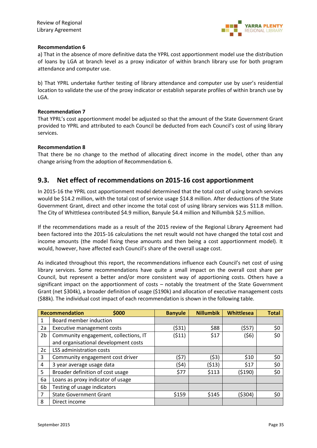

#### **Recommendation 6**

a) That in the absence of more definitive data the YPRL cost apportionment model use the distribution of loans by LGA at branch level as a proxy indicator of within branch library use for both program attendance and computer use.

b) That YPRL undertake further testing of library attendance and computer use by user's residential location to validate the use of the proxy indicator or establish separate profiles of within branch use by LGA.

#### **Recommendation 7**

That YPRL's cost apportionment model be adjusted so that the amount of the State Government Grant provided to YPRL and attributed to each Council be deducted from each Council's cost of using library services.

#### **Recommendation 8**

That there be no change to the method of allocating direct income in the model, other than any change arising from the adoption of Recommendation 6.

### **9.3. Net effect of recommendations on 2015-16 cost apportionment**

In 2015-16 the YPRL cost apportionment model determined that the total cost of using branch services would be \$14.2 million, with the total cost of service usage \$14.8 million. After deductions of the State Government Grant, direct and other income the total cost of using library services was \$11.8 million. The City of Whittlesea contributed \$4.9 million, Banyule \$4.4 million and Nillumbik \$2.5 million.

If the recommendations made as a result of the 2015 review of the Regional Library Agreement had been factored into the 2015-16 calculations the net result would not have changed the total cost and income amounts (the model fixing these amounts and then being a cost apportionment model). It would, however, have affected each Council's share of the overall usage cost.

As indicated throughout this report, the recommendations influence each Council's net cost of using library services. Some recommendations have quite a small impact on the overall cost share per Council, but represent a better and/or more consistent way of apportioning costs. Others have a significant impact on the apportionment of costs – notably the treatment of the State Government Grant (net \$304k), a broader definition of usage (\$190k) and allocation of executive management costs (\$88k). The individual cost impact of each recommendation is shown in the following table.

|                | <b>Recommendation</b><br>\$000        | <b>Banyule</b> | <b>Nillumbik</b> | Whittlesea | <b>Total</b> |
|----------------|---------------------------------------|----------------|------------------|------------|--------------|
|                | Board member induction                |                |                  |            |              |
| 2a             | Executive management costs            | (\$31)         | \$88             | (557)      | \$0          |
| 2 <sub>b</sub> | Community engagement, collections, IT | (\$11)         | \$17             | (\$6)      | \$0          |
|                | and organisational development costs  |                |                  |            |              |
| 2c             | LSS administration costs              |                |                  |            |              |
| 3              | Community engagement cost driver      | (57)           | (\$3)            | \$10       | \$0          |
| 4              | 3 year average usage data             | (\$4)          | (513)            | \$17       | \$0          |
| 5              | Broader definition of cost usage      | \$77           | \$113            | (5190)     | \$0          |
| 6a             | Loans as proxy indicator of usage     |                |                  |            |              |
| 6b             | Testing of usage indicators           |                |                  |            |              |
| 7              | <b>State Government Grant</b>         | \$159          | \$145            | ( \$304)   | \$0          |
| 8              | Direct income                         |                |                  |            |              |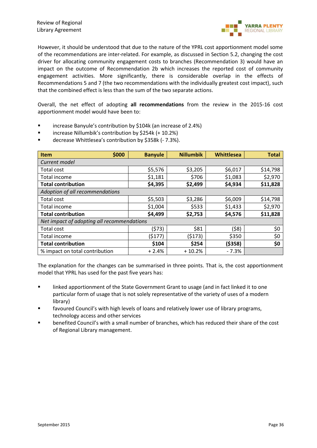

However, it should be understood that due to the nature of the YPRL cost apportionment model some of the recommendations are inter-related. For example, as discussed in Section 5.2, changing the cost driver for allocating community engagement costs to branches (Recommendation 3) would have an impact on the outcome of Recommendation 2b which increases the reported cost of community engagement activities. More significantly, there is considerable overlap in the effects of Recommendations 5 and 7 (the two recommendations with the individually greatest cost impact), such that the combined effect is less than the sum of the two separate actions.

Overall, the net effect of adopting **all recommendations** from the review in the 2015-16 cost apportionment model would have been to:

- increase Banyule's contribution by \$104k (an increase of 2.4%)
- increase Nillumbik's contribution by \$254k (+ 10.2%)
- decrease Whittlesea's contribution by \$358k (-7.3%).

| \$000<br><b>Item</b>                       | <b>Banyule</b> | <b>Nillumbik</b> | Whittlesea | <b>Total</b> |  |  |  |  |
|--------------------------------------------|----------------|------------------|------------|--------------|--|--|--|--|
| Current model                              |                |                  |            |              |  |  |  |  |
| Total cost                                 | \$5,576        | \$3,205          | \$6,017    | \$14,798     |  |  |  |  |
| Total income                               | \$1,181        | \$706            | \$1,083    | \$2,970      |  |  |  |  |
| <b>Total contribution</b>                  | \$4,395        | \$2,499          | \$4,934    | \$11,828     |  |  |  |  |
| Adoption of all recommendations            |                |                  |            |              |  |  |  |  |
| Total cost                                 | \$5,503        | \$3,286          | \$6,009    | \$14,798     |  |  |  |  |
| Total income                               | \$1,004        | \$533            | \$1,433    | \$2,970      |  |  |  |  |
| <b>Total contribution</b>                  | \$4,499        | \$2,753          | \$4,576    | \$11,828     |  |  |  |  |
| Net impact of adopting all recommendations |                |                  |            |              |  |  |  |  |
| Total cost                                 | (573)          | \$81             | (58)       | \$0          |  |  |  |  |
| Total income                               | (\$177)        | (5173)           | \$350      | \$0          |  |  |  |  |
| <b>Total contribution</b>                  | \$104          | \$254            | ( \$358)   | \$0          |  |  |  |  |
| % impact on total contribution             | $+2.4%$        | $+10.2%$         | $-7.3%$    |              |  |  |  |  |

The explanation for the changes can be summarised in three points. That is, the cost apportionment model that YPRL has used for the past five years has:

- **Inked apportionment of the State Government Grant to usage (and in fact linked it to one** particular form of usage that is not solely representative of the variety of uses of a modern library)
- favoured Council's with high levels of loans and relatively lower use of library programs, technology access and other services
- benefited Council's with a small number of branches, which has reduced their share of the cost of Regional Library management.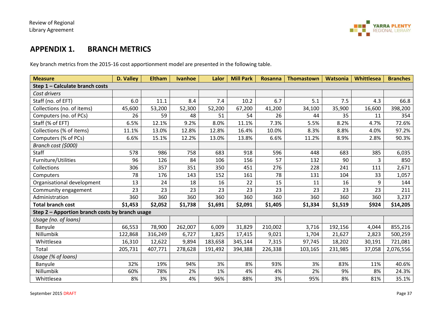

### **APPENDIX 1. BRANCH METRICS**

Key branch metrics from the 2015-16 cost apportionment model are presented in the following table.

| <b>Measure</b>                                  | D. Valley | <b>Eltham</b> | <b>Ivanhoe</b> | Lalor   | <b>Mill Park</b> | <b>Rosanna</b> | <b>Thomastown</b> | <b>Watsonia</b> | Whittlesea | <b>Branches</b> |
|-------------------------------------------------|-----------|---------------|----------------|---------|------------------|----------------|-------------------|-----------------|------------|-----------------|
| Step 1 - Calculate branch costs                 |           |               |                |         |                  |                |                   |                 |            |                 |
| Cost drivers                                    |           |               |                |         |                  |                |                   |                 |            |                 |
| Staff (no. of EFT)                              | 6.0       | 11.1          | 8.4            | 7.4     | 10.2             | 6.7            | 5.1               | 7.5             | 4.3        | 66.8            |
| Collections (no. of items)                      | 45,600    | 53,200        | 52,300         | 52,200  | 67,200           | 41,200         | 34,100            | 35,900          | 16,600     | 398,200         |
| Computers (no. of PCs)                          | 26        | 59            | 48             | 51      | 54               | 26             | 44                | 35              | 11         | 354             |
| Staff (% of EFT)                                | 6.5%      | 12.1%         | 9.2%           | 8.0%    | 11.1%            | 7.3%           | 5.5%              | 8.2%            | 4.7%       | 72.6%           |
| Collections (% of items)                        | 11.1%     | 13.0%         | 12.8%          | 12.8%   | 16.4%            | 10.0%          | 8.3%              | 8.8%            | 4.0%       | 97.2%           |
| Computers (% of PCs)                            | 6.6%      | 15.1%         | 12.2%          | 13.0%   | 13.8%            | 6.6%           | 11.2%             | 8.9%            | 2.8%       | 90.3%           |
| Branch cost (\$000)                             |           |               |                |         |                  |                |                   |                 |            |                 |
| Staff                                           | 578       | 986           | 758            | 683     | 918              | 596            | 448               | 683             | 385        | 6,035           |
| Furniture/Utilities                             | 96        | 126           | 84             | 106     | 156              | 57             | 132               | 90              | 3          | 850             |
| Collections                                     | 306       | 357           | 351            | 350     | 451              | 276            | 228               | 241             | 111        | 2,671           |
| Computers                                       | 78        | 176           | 143            | 152     | 161              | 78             | 131               | 104             | 33         | 1,057           |
| Organisational development                      | 13        | 24            | 18             | 16      | 22               | 15             | 11                | 16              | 9          | 144             |
| Community engagement                            | 23        | 23            | 23             | 23      | 23               | 23             | 23                | 23              | 23         | 211             |
| Administration                                  | 360       | 360           | 360            | 360     | 360              | 360            | 360               | 360             | 360        | 3,237           |
| <b>Total branch cost</b>                        | \$1,453   | \$2,052       | \$1,738        | \$1,691 | \$2,091          | \$1,405        | \$1,334           | \$1,519         | \$924      | \$14,205        |
| Step 2 - Apportion branch costs by branch usage |           |               |                |         |                  |                |                   |                 |            |                 |
| Usage (no. of loans)                            |           |               |                |         |                  |                |                   |                 |            |                 |
| Banyule                                         | 66,553    | 78,900        | 262,007        | 6,009   | 31,829           | 210,002        | 3,716             | 192,156         | 4,044      | 855,216         |
| Nillumbik                                       | 122,868   | 316,249       | 6,727          | 1,825   | 17,415           | 9,021          | 1,704             | 21,627          | 2,823      | 500,259         |
| Whittlesea                                      | 16,310    | 12,622        | 9,894          | 183,658 | 345,144          | 7,315          | 97,745            | 18,202          | 30,191     | 721,081         |
| Total                                           | 205,731   | 407,771       | 278,628        | 191,492 | 394,388          | 226,338        | 103,165           | 231,985         | 37,058     | 2,076,556       |
| Usage (% of loans)                              |           |               |                |         |                  |                |                   |                 |            |                 |
| Banyule                                         | 32%       | 19%           | 94%            | 3%      | 8%               | 93%            | 3%                | 83%             | 11%        | 40.6%           |
| Nillumbik                                       | 60%       | 78%           | 2%             | 1%      | 4%               | 4%             | 2%                | 9%              | 8%         | 24.3%           |
| Whittlesea                                      | 8%        | 3%            | 4%             | 96%     | 88%              | 3%             | 95%               | 8%              | 81%        | 35.1%           |